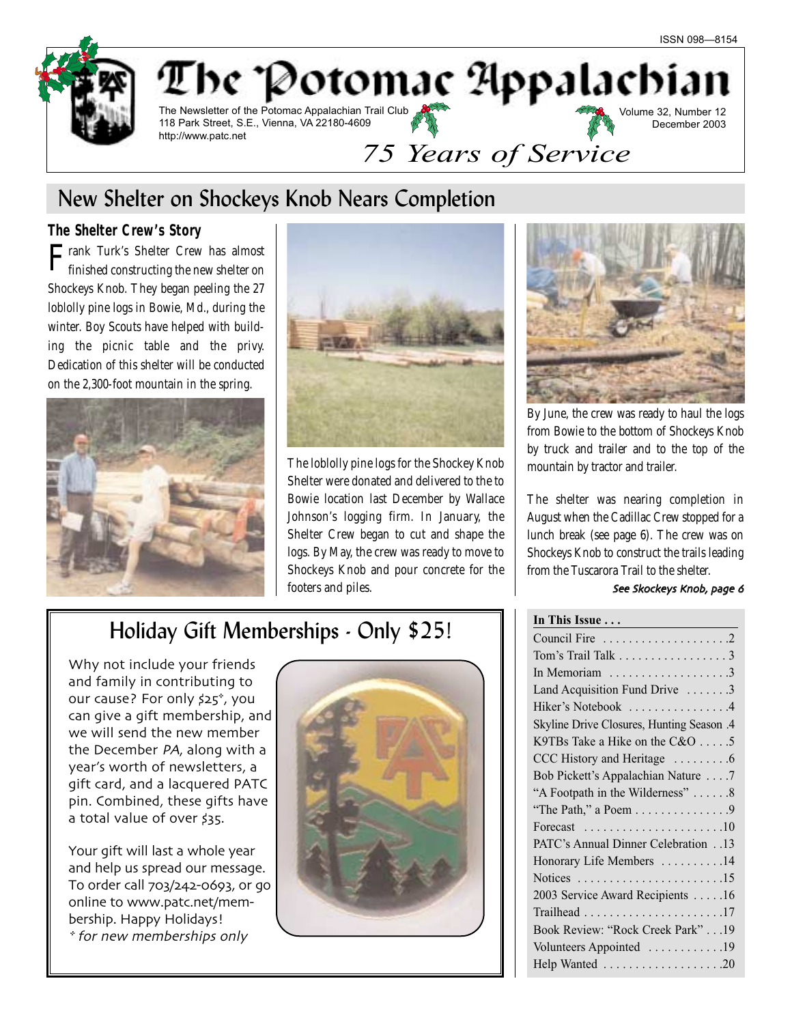

# New Shelter on Shockeys Knob Nears Completion

### **The Shelter Crew's Story**

 $\Gamma$ rank Turk's Shelter Crew has almost finished constructing the new shelter on Shockeys Knob. They began peeling the 27 loblolly pine logs in Bowie, Md., during the winter. Boy Scouts have helped with building the picnic table and the privy. Dedication of this shelter will be conducted on the 2,300-foot mountain in the spring.





The loblolly pine logs for the Shockey Knob Shelter were donated and delivered to the to Bowie location last December by Wallace Johnson's logging firm. In January, the Shelter Crew began to cut and shape the logs. By May, the crew was ready to move to Shockeys Knob and pour concrete for the footers and piles.



By June, the crew was ready to haul the logs from Bowie to the bottom of Shockeys Knob by truck and trailer and to the top of the mountain by tractor and trailer.

The shelter was nearing completion in August when the Cadillac Crew stopped for a lunch break (see page 6). The crew was on Shockeys Knob to construct the trails leading from the Tuscarora Trail to the shelter.

#### See Skockeys Knob, page 6

# Holiday Gift Memberships - Only \$25!

Why not include your friends and family in contributing to our cause? For only \$25<sup>\*</sup>, you can give a gift membership and we will send the new member the December PA, along with a year's worth of newsletters a gift card and a lacquered PATC pin. Combined, these gifts have a total value of over \$35.

Your gift will last a whole year and help us spread our message. To order call 703/242-0693, or go online to www.patc.net/membership. Happy Holidays! \* for new memberships only



| In This Issue                                                      |
|--------------------------------------------------------------------|
|                                                                    |
| Tom's Trail Talk 3                                                 |
| In Memoriam $\dots \dots \dots \dots \dots \dots$                  |
| Land Acquisition Fund Drive 3                                      |
| Hiker's Notebook 4                                                 |
| Skyline Drive Closures, Hunting Season .4                          |
| K9TBs Take a Hike on the C&O 5                                     |
| CCC History and Heritage 6                                         |
| Bob Pickett's Appalachian Nature 7                                 |
| "A Footpath in the Wilderness" 8                                   |
| "The Path," a Poem 9                                               |
| Forecast $\ldots \ldots \ldots \ldots \ldots \ldots \ldots 10$     |
| PATC's Annual Dinner Celebration13                                 |
| Honorary Life Members 14                                           |
| Notices $\dots \dots \dots \dots \dots \dots \dots \dots \dots 15$ |
| 2003 Service Award Recipients 16                                   |
|                                                                    |
| Book Review: "Rock Creek Park" 19                                  |
| Volunteers Appointed 19                                            |
| Help Wanted 20                                                     |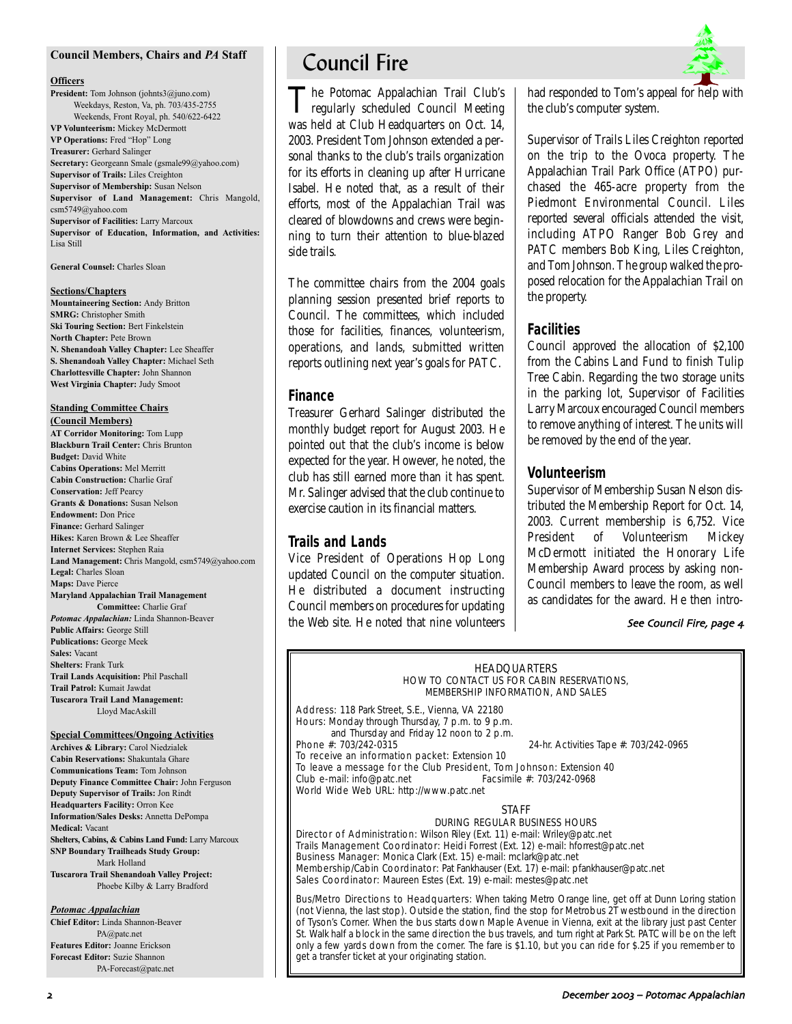#### **Council Members, Chairs and** *PA* **Staff**

#### **Officers**

**President:** Tom Johnson (johnts3@juno.com) Weekdays, Reston, Va, ph. 703/435-2755 Weekends, Front Royal, ph. 540/622-6422 **VP Volunteerism:** Mickey McDermott **VP Operations:** Fred "Hop" Long **Treasurer:** Gerhard Salinger **Secretary:** Georgeann Smale (gsmale99@yahoo.com) **Supervisor of Trails:** Liles Creighton **Supervisor of Membership:** Susan Nelson **Supervisor of Land Management:** Chris Mangold, csm5749@yahoo.com **Supervisor of Facilities:** Larry Marcoux **Supervisor of Education, Information, and Activities:** Lisa Still

**General Counsel:** Charles Sloan

#### **Sections/Chapters**

**Mountaineering Section:** Andy Britton **SMRG:** Christopher Smith **Ski Touring Section:** Bert Finkelstein **North Chapter:** Pete Brown **N. Shenandoah Valley Chapter:** Lee Sheaffer **S. Shenandoah Valley Chapter:** Michael Seth **Charlottesville Chapter:** John Shannon **West Virginia Chapter:** Judy Smoot

### **Standing Committee Chairs**

**(Council Members) AT Corridor Monitoring:** Tom Lupp **Blackburn Trail Center:** Chris Brunton **Budget:** David White **Cabins Operations:** Mel Merritt **Cabin Construction:** Charlie Graf **Conservation:** Jeff Pearcy **Grants & Donations:** Susan Nelson **Endowment:** Don Price **Finance:** Gerhard Salinger **Hikes:** Karen Brown & Lee Sheaffer **Internet Services:** Stephen Raia **Land Management:** Chris Mangold, csm5749@yahoo.com **Legal:** Charles Sloan **Maps:** Dave Pierce **Maryland Appalachian Trail Management Committee:** Charlie Graf *Potomac Appalachian:* Linda Shannon-Beaver **Public Affairs:** George Still **Publications:** George Meek **Sales:** Vacant **Shelters:** Frank Turk **Trail Lands Acquisition:** Phil Paschall **Trail Patrol:** Kumait Jawdat **Tuscarora Trail Land Management:** Lloyd MacAskill

#### **Special Committees/Ongoing Activities**

**Archives & Library:** Carol Niedzialek **Cabin Reservations:** Shakuntala Ghare **Communications Team:** Tom Johnson **Deputy Finance Committee Chair:** John Ferguson **Deputy Supervisor of Trails:** Jon Rindt **Headquarters Facility:** Orron Kee **Information/Sales Desks:** Annetta DePompa **Medical:** Vacant **Shelters, Cabins, & Cabins Land Fund:** Larry Marcoux **SNP Boundary Trailheads Study Group:** Mark Holland **Tuscarora Trail Shenandoah Valley Project:** Phoebe Kilby & Larry Bradford

#### *Potomac Appalachian*

**Chief Editor:** Linda Shannon-Beaver PA@patc.net **Features Editor:** Joanne Erickson **Forecast Editor:** Suzie Shannon PA-Forecast@patc.net

# Council Fire

The Potomac Appalachian Trail Club's regularly scheduled Council Meeting was held at Club Headquarters on Oct. 14, 2003. President Tom Johnson extended a personal thanks to the club's trails organization for its efforts in cleaning up after Hurricane Isabel. He noted that, as a result of their efforts, most of the Appalachian Trail was cleared of blowdowns and crews were beginning to turn their attention to blue-blazed side trails.

The committee chairs from the 2004 goals planning session presented brief reports to Council. The committees, which included those for facilities, finances, volunteerism, operations, and lands, submitted written reports outlining next year's goals for PATC.

#### **Finance**

Treasurer Gerhard Salinger distributed the monthly budget report for August 2003. He pointed out that the club's income is below expected for the year. However, he noted, the club has still earned more than it has spent. Mr. Salinger advised that the club continue to exercise caution in its financial matters.

### **Trails and Lands**

Vice President of Operations Hop Long updated Council on the computer situation. He distributed a document instructing Council members on procedures for updating the Web site. He noted that nine volunteers had responded to Tom's appeal for help with the club's computer system.

Supervisor of Trails Liles Creighton reported on the trip to the Ovoca property. The Appalachian Trail Park Office (ATPO) purchased the 465-acre property from the Piedmont Environmental Council. Liles reported several officials attended the visit, including ATPO Ranger Bob Grey and PATC members Bob King, Liles Creighton, and Tom Johnson. The group walked the proposed relocation for the Appalachian Trail on the property.

### **Facilities**

Council approved the allocation of \$2,100 from the Cabins Land Fund to finish Tulip Tree Cabin. Regarding the two storage units in the parking lot, Supervisor of Facilities Larry Marcoux encouraged Council members to remove anything of interest. The units will be removed by the end of the year.

### **Volunteerism**

Supervisor of Membership Susan Nelson distributed the Membership Report for Oct. 14, 2003. Current membership is 6,752. Vice President of Volunteerism Mickey McDermott initiated the Honorary Life Membership Award process by asking non-Council members to leave the room, as well as candidates for the award. He then intro-

#### See Council Fire, page 4

#### HEADQUARTERS HOW TO CONTACT US FOR CABIN RESERVATIONS, MEMBERSHIP INFORMATION, AND SALES

Address: 118 Park Street, S.E., Vienna, VA 22180 Hours: Monday through Thursday, 7 p.m. to 9 p.m. and Thursday and Friday 12 noon to 2 p.m.<br>Phone #: 703/242-0315 24-hr. Activities Tape #: 703/242-0965 To receive an information packet: Extension 10

To leave a message for the Club President, Tom Johnson: Extension 40<br>Club e-mail: info@patc.net Facsimile #: 703/242-0968  $Club$  e-mail: info@patc.net World Wide Web URL: http://www.patc.net

#### STAFF DURING REGULAR BUSINESS HOURS

Director of Administration: Wilson Riley (Ext. 11) e-mail: Wriley@patc.net Trails Management Coordinator: Heidi Forrest (Ext. 12) e-mail: hforrest@patc.net Business Manager: Monica Clark (Ext. 15) e-mail: mclark@patc.net Membership/Cabin Coordinator: Pat Fankhauser (Ext. 17) e-mail: pfankhauser@patc.net Sales Coordinator: Maureen Estes (Ext. 19) e-mail: mestes@patc.net

Bus/Metro Directions to Headquarters: When taking Metro Orange line, get off at Dunn Loring station (not Vienna, the last stop). Outside the station, find the stop for Metrobus 2T westbound in the direction of Tyson's Corner. When the bus starts down Maple Avenue in Vienna, exit at the library just past Center St. Walk half a block in the same direction the bus travels, and turn right at Park St. PATC will be on the left only a few yards down from the corner. The fare is \$1.10, but you can ride for \$.25 if you remember to get a transfer ticket at your originating station.

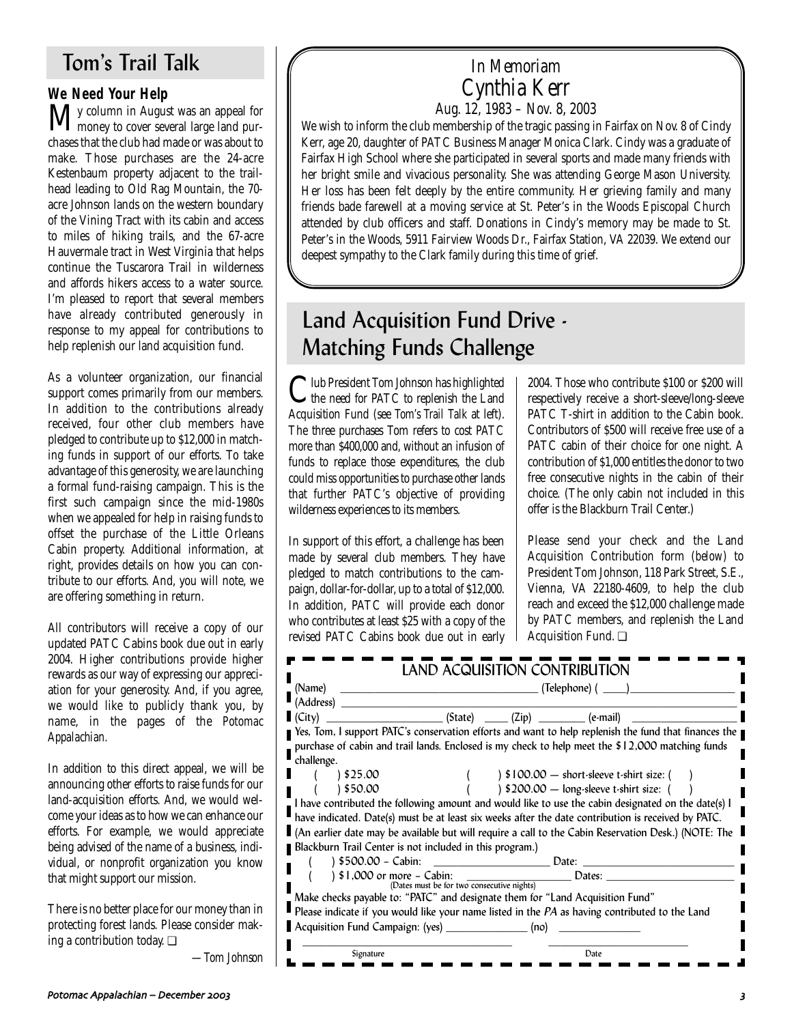# Tom's Trail Talk

**We Need Your Help**<br>**N** *I* y column in August was an appeal for My column in August was an appeal for money to cover several large land purchases that the club had made or was about to make. Those purchases are the 24-acre Kestenbaum property adjacent to the trailhead leading to Old Rag Mountain, the 70 acre Johnson lands on the western boundary of the Vining Tract with its cabin and access to miles of hiking trails, and the 67-acre Hauvermale tract in West Virginia that helps continue the Tuscarora Trail in wilderness and affords hikers access to a water source. I'm pleased to report that several members have already contributed generously in response to my appeal for contributions to help replenish our land acquisition fund.

As a volunteer organization, our financial support comes primarily from our members. In addition to the contributions already received, four other club members have pledged to contribute up to \$12,000 in matching funds in support of our efforts. To take advantage of this generosity, we are launching a formal fund-raising campaign. This is the first such campaign since the mid-1980s when we appealed for help in raising funds to offset the purchase of the Little Orleans Cabin property. Additional information, at right, provides details on how you can contribute to our efforts. And, you will note, we are offering something in return.

All contributors will receive a copy of our updated PATC Cabins book due out in early 2004. Higher contributions provide higher rewards as our way of expressing our appreciation for your generosity. And, if you agree, we would like to publicly thank you, by name, in the pages of the *Potomac Appalachian.*

In addition to this direct appeal, we will be announcing other efforts to raise funds for our land-acquisition efforts. And, we would welcome your ideas as to how we can enhance our efforts. For example, we would appreciate being advised of the name of a business, individual, or nonprofit organization you know that might support our mission.

There is no better place for our money than in protecting forest lands. Please consider making a contribution today. ❏

*—Tom Johnson*

### *In Memoriam Cynthia Kerr Aug. 12, 1983 – Nov. 8, 2003*

We wish to inform the club membership of the tragic passing in Fairfax on Nov. 8 of Cindy Kerr, age 20, daughter of PATC Business Manager Monica Clark. Cindy was a graduate of Fairfax High School where she participated in several sports and made many friends with her bright smile and vivacious personality. She was attending George Mason University. Her loss has been felt deeply by the entire community. Her grieving family and many friends bade farewell at a moving service at St. Peter's in the Woods Episcopal Church attended by club officers and staff. Donations in Cindy's memory may be made to St. Peter's in the Woods, 5911 Fairview Woods Dr., Fairfax Station, VA 22039. We extend our deepest sympathy to the Clark family during this time of grief.

# Land Acquisition Fund Drive - Matching Funds Challenge

Club President Tom Johnson has highlighted the need for PATC to replenish the Land Acquisition Fund (see *Tom's Trail Talk* at left). The three purchases Tom refers to cost PATC more than \$400,000 and, without an infusion of funds to replace those expenditures, the club could miss opportunities to purchase other lands that further PATC's objective of providing wilderness experiences to its members.

In support of this effort, a challenge has been made by several club members. They have pledged to match contributions to the campaign, dollar-for-dollar, up to a total of \$12,000. In addition, PATC will provide each donor who contributes at least \$25 with a copy of the revised PATC Cabins book due out in early 2004. Those who contribute \$100 or \$200 will respectively receive a short-sleeve/long-sleeve PATC T-shirt in addition to the Cabin book. Contributors of \$500 will receive free use of a PATC cabin of their choice for one night. A contribution of \$1,000 entitles the donor to two free consecutive nights in the cabin of their choice. (The only cabin not included in this offer is the Blackburn Trail Center.)

Please send your check and the Land Acquisition Contribution form (*below*) to President Tom Johnson, 118 Park Street, S.E., Vienna, VA 22180-4609, to help the club reach and exceed the \$12,000 challenge made by PATC members, and replenish the Land Acquisition Fund. ❏

| (Name)                                                                        | LAND ACQUISITION CONTRIBUTION<br>(Telephone) (                |  |                                                                                                             |
|-------------------------------------------------------------------------------|---------------------------------------------------------------|--|-------------------------------------------------------------------------------------------------------------|
| (Address)                                                                     |                                                               |  |                                                                                                             |
| (City)                                                                        | $(State)$ $(Zip)$ $(2i p)$ $(e-mail)$                         |  |                                                                                                             |
|                                                                               |                                                               |  | ■ Yes, Tom, I support PATC's conservation efforts and want to help replenish the fund that finances the     |
|                                                                               |                                                               |  | purchase of cabin and trail lands. Enclosed is my check to help meet the \$12,000 matching funds            |
| challenge.                                                                    |                                                               |  |                                                                                                             |
| 325.00                                                                        |                                                               |  | $\frac{1}{2}$ \$100.00 – short-sleeve t-shirt size: (                                                       |
| 350.00                                                                        |                                                               |  | $\frac{1}{2}$ \$200.00 - long-sleeve t-shirt size: (                                                        |
|                                                                               |                                                               |  | I have contributed the following amount and would like to use the cabin designated on the date(s) I         |
|                                                                               |                                                               |  | have indicated. Date(s) must be at least six weeks after the date contribution is received by PATC.         |
|                                                                               |                                                               |  | An earlier date may be available but will require a call to the Cabin Reservation Desk.) (NOTE: The $\vert$ |
| Blackburn Trail Center is not included in this program.)                      |                                                               |  |                                                                                                             |
|                                                                               |                                                               |  |                                                                                                             |
| ) \$1,000 or more - Cabin:                                                    | more $-$ Cabin:<br>(Dates must be for two consecutive nights) |  | Dates:                                                                                                      |
|                                                                               |                                                               |  |                                                                                                             |
| Make checks payable to: "PATC" and designate them for "Land Acquisition Fund" |                                                               |  |                                                                                                             |
|                                                                               |                                                               |  | Please indicate if you would like your name listed in the PA as having contributed to the Land              |
|                                                                               |                                                               |  |                                                                                                             |
| Acquisition Fund Campaign: (yes) (no)                                         |                                                               |  |                                                                                                             |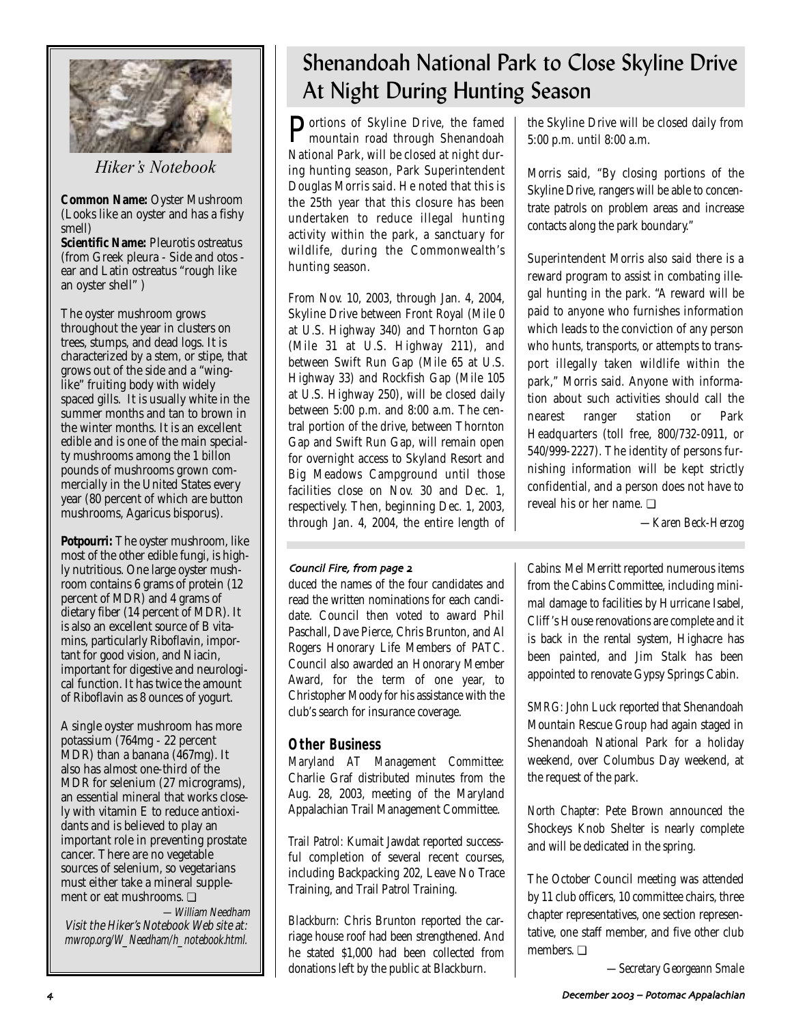

*Hiker's Notebook*

**Common Name:** Oyster Mushroom (Looks like an oyster and has a fishy smell)

**Scientific Name:** Pleurotis ostreatus (from Greek pleura - Side and otos ear and Latin ostreatus "rough like an oyster shell" )

The oyster mushroom grows throughout the year in clusters on trees, stumps, and dead logs. It is characterized by a stem, or stipe, that grows out of the side and a "winglike" fruiting body with widely spaced gills. It is usually white in the summer months and tan to brown in the winter months. It is an excellent edible and is one of the main specialty mushrooms among the 1 billon pounds of mushrooms grown commercially in the United States every year (80 percent of which are button mushrooms, Agaricus bisporus).

**Potpourri:** The oyster mushroom, like most of the other edible fungi, is highly nutritious. One large oyster mushroom contains 6 grams of protein (12 percent of MDR) and 4 grams of dietary fiber (14 percent of MDR). It is also an excellent source of B vitamins, particularly Riboflavin, important for good vision, and Niacin, important for digestive and neurological function. It has twice the amount of Riboflavin as 8 ounces of yogurt.

A single oyster mushroom has more potassium (764mg - 22 percent  $\overline{MDR}$ ) than a banana ( $\overline{467}$ mg). It also has almost one-third of the MDR for selenium (27 micrograms), an essential mineral that works closely with vitamin E to reduce antioxidants and is believed to play an important role in preventing prostate cancer. There are no vegetable sources of selenium, so vegetarians must either take a mineral supplement or eat mushrooms. ❏

—William Needham Visit the Hiker's Notebook Web site at: mwrop.org/W\_Needham/h\_notebook.html.

# Shenandoah National Park to Close Skyline Drive At Night During Hunting Season

Portions of Skyline Drive, the famed mountain road through Shenandoah National Park, will be closed at night during hunting season, Park Superintendent Douglas Morris said. He noted that this is the 25th year that this closure has been undertaken to reduce illegal hunting activity within the park, a sanctuary for wildlife, during the Commonwealth's hunting season.

From Nov. 10, 2003, through Jan. 4, 2004, Skyline Drive between Front Royal (Mile 0 at U.S. Highway 340) and Thornton Gap (Mile 31 at U.S. Highway 211), and between Swift Run Gap (Mile 65 at U.S. Highway 33) and Rockfish Gap (Mile 105 at U.S. Highway 250), will be closed daily between 5:00 p.m. and 8:00 a.m. The central portion of the drive, between Thornton Gap and Swift Run Gap, will remain open for overnight access to Skyland Resort and Big Meadows Campground until those facilities close on Nov. 30 and Dec. 1, respectively. Then, beginning Dec. 1, 2003, through Jan. 4, 2004, the entire length of the Skyline Drive will be closed daily from 5:00 p.m. until 8:00 a.m.

Morris said, "By closing portions of the Skyline Drive, rangers will be able to concentrate patrols on problem areas and increase contacts along the park boundary."

Superintendent Morris also said there is a reward program to assist in combating illegal hunting in the park. "A reward will be paid to anyone who furnishes information which leads to the conviction of any person who hunts, transports, or attempts to transport illegally taken wildlife within the park," Morris said. Anyone with information about such activities should call the nearest ranger station or Park Headquarters (toll free, 800/732-0911, or 540/999-2227). The identity of persons furnishing information will be kept strictly confidential, and a person does not have to reveal his or her name. ❏

*—Karen Beck-Herzog*

### Council Fire, from page 2

duced the names of the four candidates and read the written nominations for each candidate. Council then voted to award Phil Paschall, Dave Pierce, Chris Brunton, and Al Rogers Honorary Life Members of PATC. Council also awarded an Honorary Member Award, for the term of one year, to Christopher Moody for his assistance with the club's search for insurance coverage.

### **Other Business**

*Maryland AT Management Committee:* Charlie Graf distributed minutes from the Aug. 28, 2003, meeting of the Maryland Appalachian Trail Management Committee.

*Trail Patrol:* Kumait Jawdat reported successful completion of several recent courses, including Backpacking 202, Leave No Trace Training, and Trail Patrol Training.

*Blackburn:* Chris Brunton reported the carriage house roof had been strengthened. And he stated \$1,000 had been collected from donations left by the public at Blackburn.

*Cabins:* Mel Merritt reported numerous items from the Cabins Committee, including minimal damage to facilities by Hurricane Isabel, Cliff 's House renovations are complete and it is back in the rental system, Highacre has been painted, and Jim Stalk has been appointed to renovate Gypsy Springs Cabin.

*SMRG:* John Luck reported that Shenandoah Mountain Rescue Group had again staged in Shenandoah National Park for a holiday weekend, over Columbus Day weekend, at the request of the park.

*North Chapter:* Pete Brown announced the Shockeys Knob Shelter is nearly complete and will be dedicated in the spring.

The October Council meeting was attended by 11 club officers, 10 committee chairs, three chapter representatives, one section representative, one staff member, and five other club members. ❏

*—Secretary Georgeann Smale*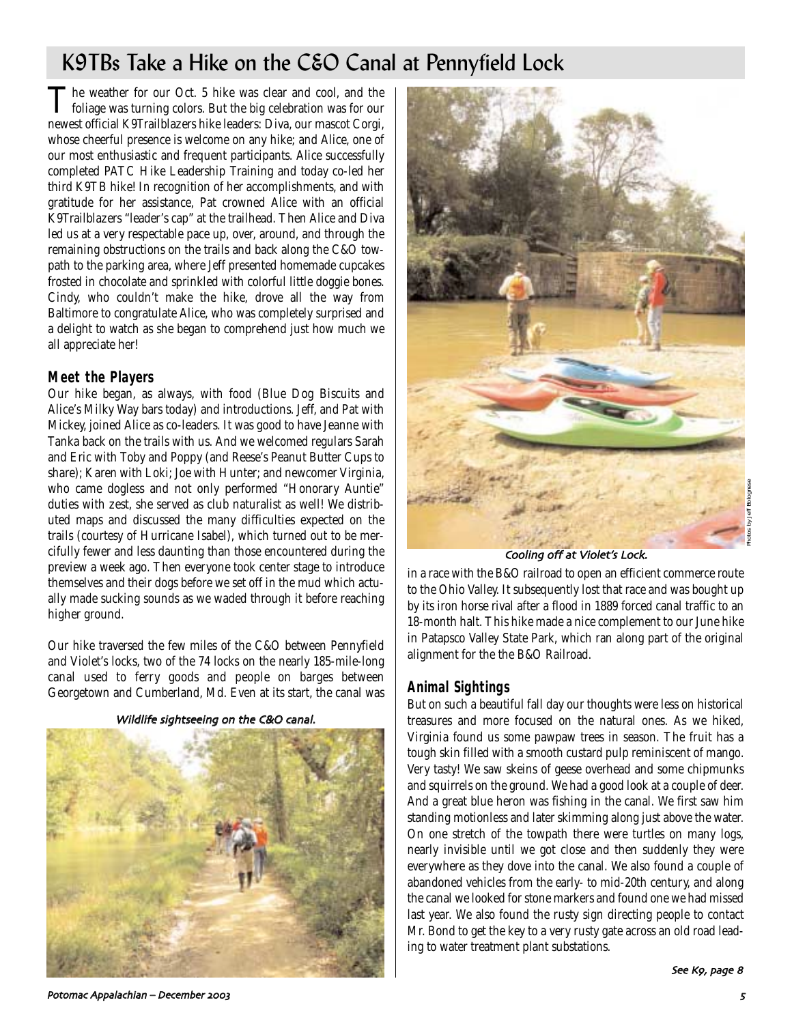# K9TBs Take a Hike on the C&O Canal at Pennyfield Lock

The weather for our Oct. 5 hike was clear and cool, and the **L** foliage was turning colors. But the big celebration was for our newest official K9Trailblazers hike leaders: Diva, our mascot Corgi, whose cheerful presence is welcome on any hike; and Alice, one of our most enthusiastic and frequent participants. Alice successfully completed PATC Hike Leadership Training and today co-led her third K9TB hike! In recognition of her accomplishments, and with gratitude for her assistance, Pat crowned Alice with an official K9Trailblazers "leader's cap" at the trailhead. Then Alice and Diva led us at a very respectable pace up, over, around, and through the remaining obstructions on the trails and back along the C&O towpath to the parking area, where Jeff presented homemade cupcakes frosted in chocolate and sprinkled with colorful little doggie bones. Cindy, who couldn't make the hike, drove all the way from Baltimore to congratulate Alice, who was completely surprised and a delight to watch as she began to comprehend just how much we all appreciate her!

### **Meet the Players**

Our hike began, as always, with food (Blue Dog Biscuits and Alice's Milky Way bars today) and introductions. Jeff, and Pat with Mickey, joined Alice as co-leaders. It was good to have Jeanne with Tanka back on the trails with us. And we welcomed regulars Sarah and Eric with Toby and Poppy (and Reese's Peanut Butter Cups to share); Karen with Loki; Joe with Hunter; and newcomer Virginia, who came dogless and not only performed "Honorary Auntie" duties with zest, she served as club naturalist as well! We distributed maps and discussed the many difficulties expected on the trails (courtesy of Hurricane Isabel), which turned out to be mercifully fewer and less daunting than those encountered during the preview a week ago. Then everyone took center stage to introduce themselves and their dogs before we set off in the mud which actually made sucking sounds as we waded through it before reaching higher ground.

Our hike traversed the few miles of the C&O between Pennyfield and Violet's locks, two of the 74 locks on the nearly 185-mile-long canal used to ferry goods and people on barges between Georgetown and Cumberland, Md. Even at its start, the canal was

Wildlife sightseeing on the C&O canal.





#### Cooling off at Violet's Lock.

in a race with the B&O railroad to open an efficient commerce route to the Ohio Valley. It subsequently lost that race and was bought up by its iron horse rival after a flood in 1889 forced canal traffic to an 18-month halt. This hike made a nice complement to our June hike in Patapsco Valley State Park, which ran along part of the original alignment for the the B&O Railroad.

#### **Animal Sightings**

But on such a beautiful fall day our thoughts were less on historical treasures and more focused on the natural ones. As we hiked, Virginia found us some pawpaw trees in season. The fruit has a tough skin filled with a smooth custard pulp reminiscent of mango. Very tasty! We saw skeins of geese overhead and some chipmunks and squirrels on the ground. We had a good look at a couple of deer. And a great blue heron was fishing in the canal. We first saw him standing motionless and later skimming along just above the water. On one stretch of the towpath there were turtles on many logs, nearly invisible until we got close and then suddenly they were everywhere as they dove into the canal. We also found a couple of abandoned vehicles from the early- to mid-20th century, and along the canal we looked for stone markers and found one we had missed last year. We also found the rusty sign directing people to contact Mr. Bond to get the key to a very rusty gate across an old road leading to water treatment plant substations.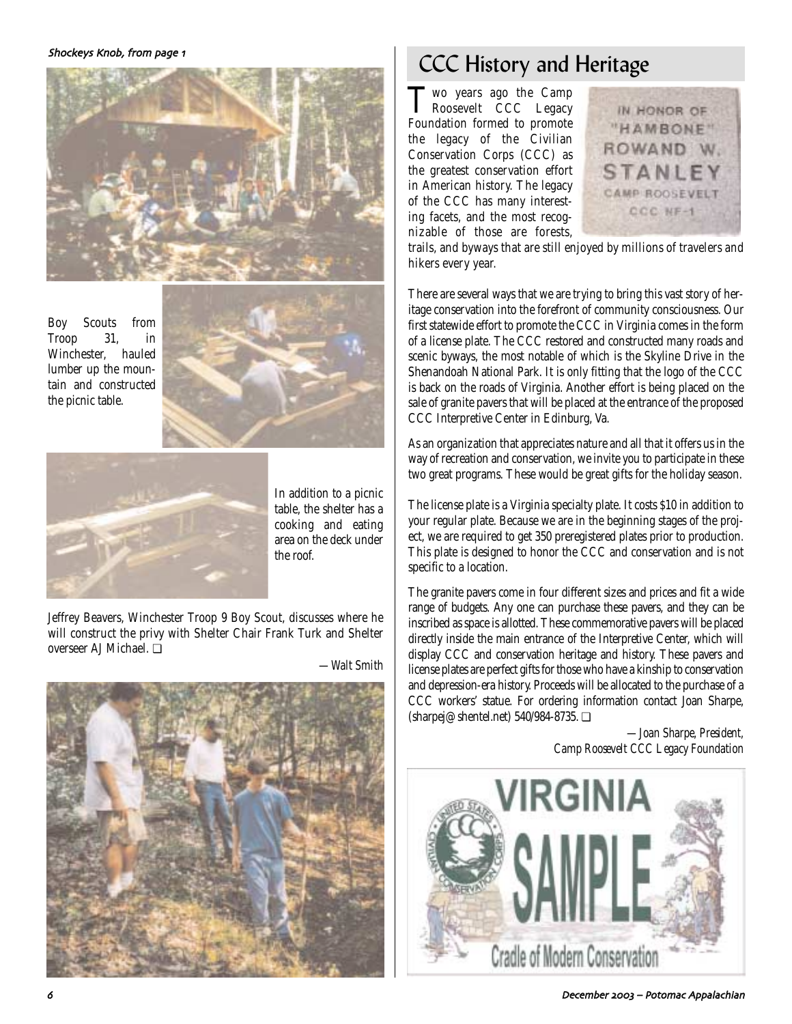

Boy Scouts from Troop 31, in Winchester, hauled lumber up the mountain and constructed the picnic table.





In addition to a picnic table, the shelter has a cooking and eating area on the deck under the roof.

Jeffrey Beavers, Winchester Troop 9 Boy Scout, discusses where he will construct the privy with Shelter Chair Frank Turk and Shelter overseer AJ Michael. ❏

*—Walt Smith*



# CCC History and Heritage

Two years ago the Camp Roosevelt CCC Legacy Foundation formed to promote the legacy of the Civilian Conservation Corps (CCC) as the greatest conservation effort in American history. The legacy of the CCC has many interesting facets, and the most recognizable of those are forests,



trails, and byways that are still enjoyed by millions of travelers and hikers every year.

There are several ways that we are trying to bring this vast story of heritage conservation into the forefront of community consciousness. Our first statewide effort to promote the CCC in Virginia comes in the form of a license plate. The CCC restored and constructed many roads and scenic byways, the most notable of which is the Skyline Drive in the Shenandoah National Park. It is only fitting that the logo of the CCC is back on the roads of Virginia. Another effort is being placed on the sale of granite pavers that will be placed at the entrance of the proposed CCC Interpretive Center in Edinburg, Va.

As an organization that appreciates nature and all that it offers us in the way of recreation and conservation, we invite you to participate in these two great programs. These would be great gifts for the holiday season.

The license plate is a Virginia specialty plate. It costs \$10 in addition to your regular plate. Because we are in the beginning stages of the project, we are required to get 350 preregistered plates prior to production. This plate is designed to honor the CCC and conservation and is not specific to a location.

The granite pavers come in four different sizes and prices and fit a wide range of budgets. Any one can purchase these pavers, and they can be inscribed as space is allotted. These commemorative pavers will be placed directly inside the main entrance of the Interpretive Center, which will display CCC and conservation heritage and history. These pavers and license plates are perfect gifts for those who have a kinship to conservation and depression-era history. Proceeds will be allocated to the purchase of a CCC workers' statue. For ordering information contact Joan Sharpe, (sharpej@shentel.net) 540/984-8735. ❏

> *—Joan Sharpe, President, Camp Roosevelt CCC Legacy Foundation*

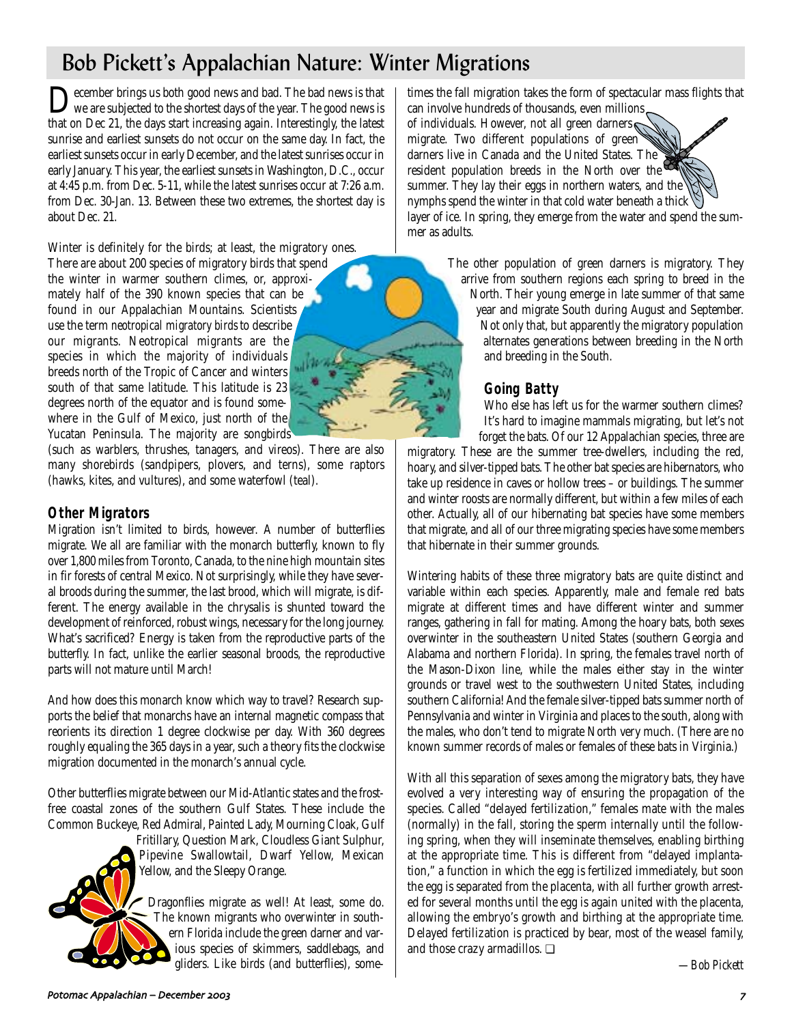# Bob Pickett's Appalachian Nature: Winter Migrations

Pecember brings us both good news and bad. The bad news is that we are subjected to the shortest days of the year. The good news is that on Dec 21, the days start increasing again. Interestingly, the latest sunrise and earliest sunsets do not occur on the same day. In fact, the earliest sunsets occur in early December, and the latest sunrises occur in early January. This year, the earliest sunsets in Washington, D.C., occur at 4:45 p.m. from Dec. 5-11, while the latest sunrises occur at 7:26 a.m. from Dec. 30-Jan. 13. Between these two extremes, the shortest day is about Dec. 21.

Winter is definitely for the birds; at least, the migratory ones. There are about 200 species of migratory birds that spend the winter in warmer southern climes, or, approximately half of the 390 known species that can be found in our Appalachian Mountains. Scientists use the term *neotropical migratory birds* to describe our migrants. Neotropical migrants are the species in which the majority of individuals breeds north of the Tropic of Cancer and winters south of that same latitude. This latitude is 23 degrees north of the equator and is found somewhere in the Gulf of Mexico, just north of the Yucatan Peninsula. The majority are songbirds

(such as warblers, thrushes, tanagers, and vireos). There are also many shorebirds (sandpipers, plovers, and terns), some raptors (hawks, kites, and vultures), and some waterfowl (teal).

### **Other Migrators**

Migration isn't limited to birds, however. A number of butterflies migrate. We all are familiar with the monarch butterfly, known to fly over 1,800 miles from Toronto, Canada, to the nine high mountain sites in fir forests of central Mexico. Not surprisingly, while they have several broods during the summer, the last brood, which will migrate, is different. The energy available in the chrysalis is shunted toward the development of reinforced, robust wings, necessary for the long journey. What's sacrificed? Energy is taken from the reproductive parts of the butterfly. In fact, unlike the earlier seasonal broods, the reproductive parts will not mature until March!

And how does this monarch know which way to travel? Research supports the belief that monarchs have an internal magnetic compass that reorients its direction 1 degree clockwise per day. With 360 degrees roughly equaling the 365 days in a year, such a theory fits the clockwise migration documented in the monarch's annual cycle.

Other butterflies migrate between our Mid-Atlantic states and the frostfree coastal zones of the southern Gulf States. These include the Common Buckeye, Red Admiral, Painted Lady, Mourning Cloak, Gulf

Fritillary, Question Mark, Cloudless Giant Sulphur, Pipevine Swallowtail, Dwarf Yellow, Mexican Yellow, and the Sleepy Orange.

Dragonflies migrate as well! At least, some do. The known migrants who overwinter in southern Florida include the green darner and various species of skimmers, saddlebags, and gliders. Like birds (and butterflies), some-

times the fall migration takes the form of spectacular mass flights that can involve hundreds of thousands, even millions

of individuals. However, not all green darners migrate. Two different populations of green darners live in Canada and the United States. The resident population breeds in the North over the summer. They lay their eggs in northern waters, and the nymphs spend the winter in that cold water beneath a thick  $\mathbb{S}$ layer of ice. In spring, they emerge from the water and spend the summer as adults.

> The other population of green darners is migratory. They arrive from southern regions each spring to breed in the

North. Their young emerge in late summer of that same year and migrate South during August and September. Not only that, but apparently the migratory population alternates generations between breeding in the North and breeding in the South.

### **Going Batty**

Who else has left us for the warmer southern climes? It's hard to imagine mammals migrating, but let's not forget the bats. Of our 12 Appalachian species, three are

migratory. These are the summer tree-dwellers, including the red, hoary, and silver-tipped bats. The other bat species are hibernators, who take up residence in caves or hollow trees – or buildings. The summer and winter roosts are normally different, but within a few miles of each other. Actually, all of our hibernating bat species have some members that migrate, and all of our three migrating species have some members that hibernate in their summer grounds.

Wintering habits of these three migratory bats are quite distinct and variable within each species. Apparently, male and female red bats migrate at different times and have different winter and summer ranges, gathering in fall for mating. Among the hoary bats, both sexes overwinter in the southeastern United States (southern Georgia and Alabama and northern Florida). In spring, the females travel north of the Mason-Dixon line, while the males either stay in the winter grounds or travel west to the southwestern United States, including southern California! And the female silver-tipped bats summer north of Pennsylvania and winter in Virginia and places to the south, along with the males, who don't tend to migrate North very much. (There are no known summer records of males or females of these bats in Virginia.)

With all this separation of sexes among the migratory bats, they have evolved a very interesting way of ensuring the propagation of the species. Called "delayed fertilization," females mate with the males (normally) in the fall, storing the sperm internally until the following spring, when they will inseminate themselves, enabling birthing at the appropriate time. This is different from "delayed implantation," a function in which the egg is fertilized immediately, but soon the egg is separated from the placenta, with all further growth arrested for several months until the egg is again united with the placenta, allowing the embryo's growth and birthing at the appropriate time. Delayed fertilization is practiced by bear, most of the weasel family, and those crazy armadillos. ❏

*—Bob Pickett*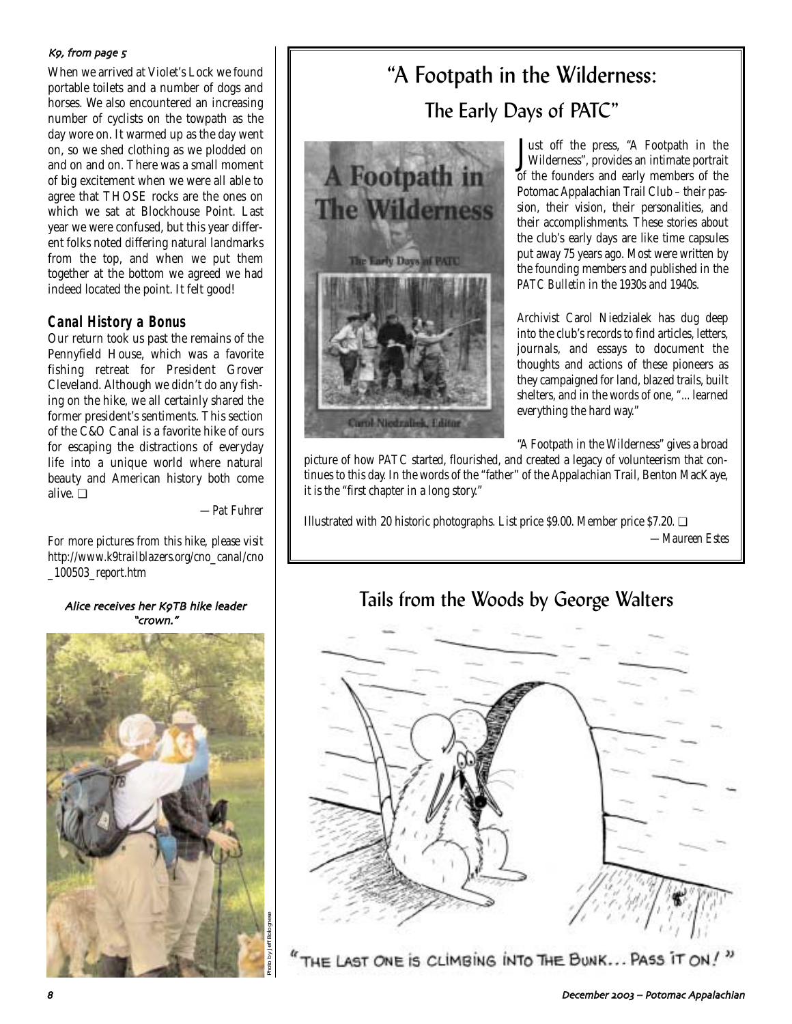#### Kg, from page 5

When we arrived at Violet's Lock we found portable toilets and a number of dogs and horses. We also encountered an increasing number of cyclists on the towpath as the day wore on. It warmed up as the day went on, so we shed clothing as we plodded on and on and on. There was a small moment of big excitement when we were all able to agree that THOSE rocks are the ones on which we sat at Blockhouse Point. Last year we were confused, but this year different folks noted differing natural landmarks from the top, and when we put them together at the bottom we agreed we had indeed located the point. It felt good!

### **Canal History a Bonus**

Our return took us past the remains of the Pennyfield House, which was a favorite fishing retreat for President Grover Cleveland. Although we didn't do any fishing on the hike, we all certainly shared the former president's sentiments. This section of the C&O Canal is a favorite hike of ours for escaping the distractions of everyday life into a unique world where natural beauty and American history both come alive. ❏

*—Pat Fuhrer*

*For more pictures from this hike, please visit http://www.k9trailblazers.org/cno\_canal/cno \_100503\_report.htm*

#### Alice receives her K9TB hike leader "crown\*"



# "A Footpath in the Wilderness: The Early Days of PATC"



J Wilderness"*,* provides an intimate portrait Tust off the press, "A Footpath in the of the founders and early members of the Potomac Appalachian Trail Club – their passion, their vision, their personalities, and their accomplishments. These stories about the club's early days are like time capsules put away 75 years ago. Most were written by the founding members and published in the *PATC Bulletin* in the 1930s and 1940s.

Archivist Carol Niedzialek has dug deep into the club's records to find articles, letters, journals, and essays to document the thoughts and actions of these pioneers as they campaigned for land, blazed trails, built shelters, and in the words of one, "... learned everything the hard way."

"A Footpath in the Wilderness" gives a broad

picture of how PATC started, flourished, and created a legacy of volunteerism that continues to this day. In the words of the "father" of the Appalachian Trail, Benton MacKaye, it is the "first chapter in a long story."

Illustrated with 20 historic photographs. List price \$9.00. Member price \$7.20. ❏ *—Maureen Estes*

# Tails from the Woods by George Walters



THE LAST ONE IS CLIMBING INTO THE BUNK... PASS IT ON!"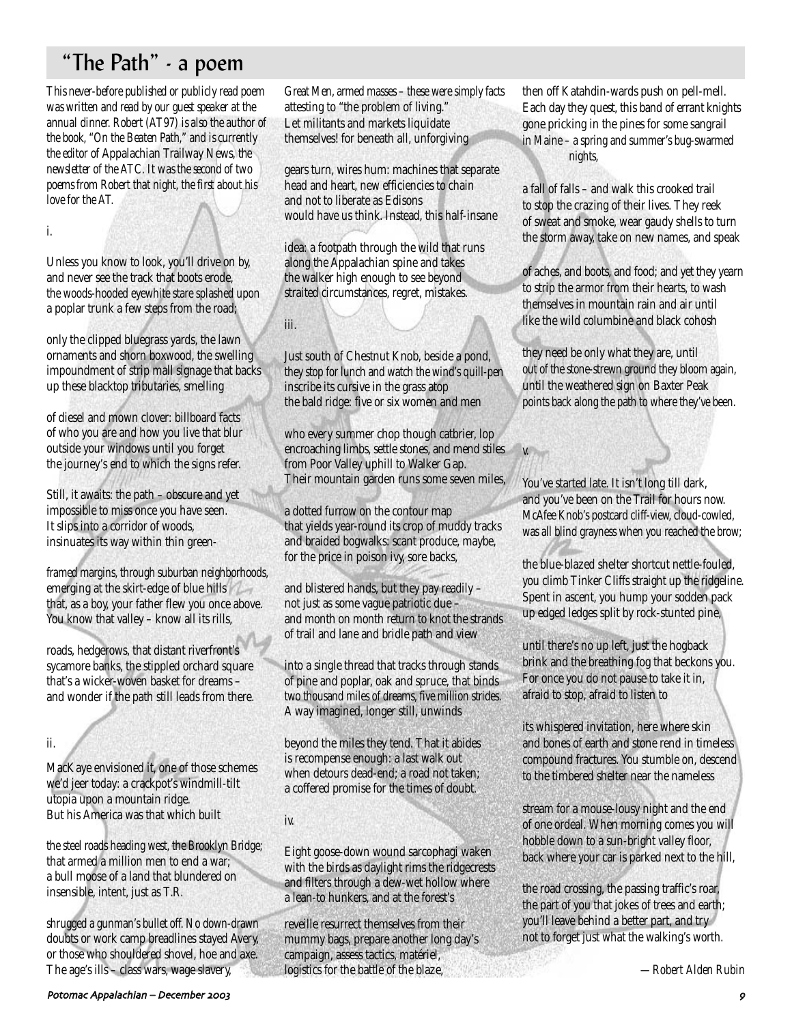# "The Path" - a poem

*This never-before published or publicly read poem was written and read by our guest speaker at the annual dinner. Robert (AT97) is also the author of the book, "On the Beaten Path," and is currently the editor of* Appalachian Trailway News*, the newsletter of the ATC. It was the second of two poems from Robert that night, the first about his love for the AT.*

i.

Unless you know to look, you'll drive on by, and never see the track that boots erode, the woods-hooded eyewhite stare splashed upon a poplar trunk a few steps from the road;

only the clipped bluegrass yards, the lawn ornaments and shorn boxwood, the swelling impoundment of strip mall signage that backs up these blacktop tributaries, smelling

of diesel and mown clover: billboard facts of who you are and how you live that blur outside your windows until you forget the journey's end to which the signs refer.

Still, it awaits: the path – obscure and yet impossible to miss once you have seen. It slips into a corridor of woods, insinuates its way within thin green-

framed margins, through suburban neighborhoods, emerging at the skirt-edge of blue hills that, as a boy, your father flew you once above. You know that valley - know all its rills,

roads, hedgerows, that distant riverfront's sycamore banks, the stippled orchard square that's a wicker-woven basket for dreams – and wonder if the path still leads from there.

ii.

MacKaye envisioned it, one of those schemes we'd jeer today: a crackpot's windmill-tilt utopia upon a mountain ridge. But his America was that which built

the steel roads heading west, the Brooklyn Bridge; that armed a million men to end a war; a bull moose of a land that blundered on insensible, intent, just as T.R.

shrugged a gunman's bullet off. No down-drawn doubts or work camp breadlines stayed Avery, or those who shouldered shovel, hoe and axe. The age's ills – class wars, wage slavery,

Great Men, armed masses – these were simply facts attesting to "the problem of living." Let militants and markets liquidate themselves! for beneath all, unforgiving

gears turn, wires hum: machines that separate head and heart, new efficiencies to chain and not to liberate as Edisons would have us think. Instead, this half-insane

idea: a footpath through the wild that runs along the Appalachian spine and takes the walker high enough to see beyond straited circumstances, regret, mistakes.

iii.

Just south of Chestnut Knob, beside a pond, they stop for lunch and watch the wind's quill-pen inscribe its cursive in the grass atop the bald ridge: five or six women and men

who every summer chop though catbrier, lop encroaching limbs, settle stones, and mend stiles from Poor Valley uphill to Walker Gap. Their mountain garden runs some seven miles,

a dotted furrow on the contour map that yields year-round its crop of muddy tracks and braided bogwalks: scant produce, maybe, for the price in poison ivy, sore backs,

and blistered hands, but they pay readily – not just as some vague patriotic due – and month on month return to knot the strands of trail and lane and bridle path and view

into a single thread that tracks through stands of pine and poplar, oak and spruce, that binds two thousand miles of dreams, five million strides. A way imagined, longer still, unwinds

beyond the miles they tend. That it abides is recompense enough: a last walk out when detours dead-end; a road not taken; a coffered promise for the times of doubt.

iv.

Eight goose-down wound sarcophagi waken with the birds as daylight rims the ridgecrests and filters through a dew-wet hollow where a lean-to hunkers, and at the forest's

reveille resurrect themselves from their mummy bags, prepare another long day's campaign, assess tactics, matériel, logistics for the battle of the blaze,

then off Katahdin-wards push on pell-mell. Each day they quest, this band of errant knights gone pricking in the pines for some sangrail in Maine – a spring and summer's bug-swarmed nights,

a fall of falls – and walk this crooked trail to stop the crazing of their lives. They reek of sweat and smoke, wear gaudy shells to turn the storm away, take on new names, and speak

of aches, and boots, and food; and yet they yearn to strip the armor from their hearts, to wash themselves in mountain rain and air until like the wild columbine and black cohosh

they need be only what they are, until out of the stone-strewn ground they bloom again, until the weathered sign on Baxter Peak points back along the path to where they've been.

You've started late. It isn't long till dark, and you've been on the Trail for hours now. McAfee Knob's postcard cliff-view, cloud-cowled, was all blind grayness when you reached the brow;

v.

the blue-blazed shelter shortcut nettle-fouled, you climb Tinker Cliffs straight up the ridgeline. Spent in ascent, you hump your sodden pack up edged ledges split by rock-stunted pine,

until there's no up left, just the hogback brink and the breathing fog that beckons you. For once you do not pause to take it in, afraid to stop, afraid to listen to

its whispered invitation, here where skin and bones of earth and stone rend in timeless compound fractures. You stumble on, descend to the timbered shelter near the nameless

stream for a mouse-lousy night and the end of one ordeal. When morning comes you will hobble down to a sun-bright valley floor, back where your car is parked next to the hill,

the road crossing, the passing traffic's roar, the part of you that jokes of trees and earth; you'll leave behind a better part, and try not to forget just what the walking's worth.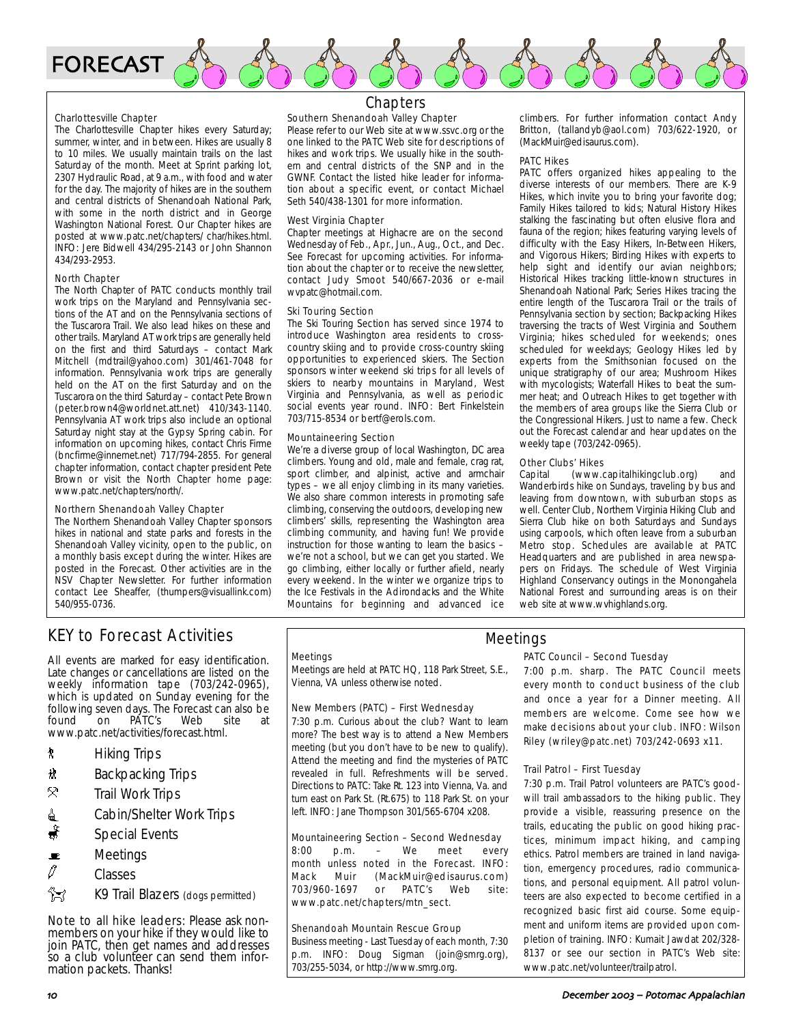

#### Charlottesville Chapter

The Charlottesville Chapter hikes every Saturday; summer, winter, and in between. Hikes are usually 8 to 10 miles. We usually maintain trails on the last Saturday of the month. Meet at Sprint parking lot, 2307 Hydraulic Road, at 9 a.m., with food and water for the day. The majority of hikes are in the southern and central districts of Shenandoah National Park, with some in the north district and in George Washington National Forest. Our Chapter hikes are posted at www.patc.net/chapters/ char/hikes.html. INFO: Jere Bidwell 434/295-2143 or John Shannon 434/293-2953.

#### North Chapter

The North Chapter of PATC conducts monthly trail work trips on the Maryland and Pennsylvania sections of the AT and on the Pennsylvania sections of the Tuscarora Trail. We also lead hikes on these and other trails. Maryland AT work trips are generally held on the first and third Saturdays – contact Mark Mitchell (mdtrail@yahoo.com) 301/461-7048 for information. Pennsylvania work trips are generally held on the AT on the first Saturday and on the Tuscarora on the third Saturday – contact Pete Brown (peter.brown4@worldnet.att.net) 410/343-1140. Pennsylvania AT work trips also include an optional Saturday night stay at the Gypsy Spring cabin. For information on upcoming hikes, contact Chris Firme (bncfirme@innernet.net) 717/794-2855. For general chapter information, contact chapter president Pete Brown or visit the North Chapter home page: www.patc.net/chapters/north/.

#### Northern Shenandoah Valley Chapter

The Northern Shenandoah Valley Chapter sponsors hikes in national and state parks and forests in the Shenandoah Valley vicinity, open to the public, on a monthly basis except during the winter. Hikes are posted in the Forecast. Other activities are in the NSV Chapter Newsletter. For further information contact Lee Sheaffer, (thumpers@visuallink.com) 540/955-0736.

### Chapters

#### Southern Shenandoah Valley Chapter

Please refer to our Web site at www.ssvc.org or the one linked to the PATC Web site for descriptions of hikes and work trips. We usually hike in the southern and central districts of the SNP and in the GWNF. Contact the listed hike leader for information about a specific event, or contact Michael Seth 540/438-1301 for more information.

#### West Virginia Chapter

Chapter meetings at Highacre are on the second Wednesday of Feb., Apr., Jun., Aug., Oct., and Dec. See Forecast for upcoming activities. For information about the chapter or to receive the newsletter, contact Judy Smoot 540/667-2036 or e-mail wvpatc@hotmail.com.

#### Ski Touring Section

The Ski Touring Section has served since 1974 to introduce Washington area residents to crosscountry skiing and to provide cross-country skiing opportunities to experienced skiers. The Section sponsors winter weekend ski trips for all levels of skiers to nearby mountains in Maryland, West Virginia and Pennsylvania, as well as periodic social events year round. INFO: Bert Finkelstein 703/715-8534 or bertf@erols.com.

#### Mountaineering Section

We're a diverse group of local Washington, DC area climbers. Young and old, male and female, crag rat, sport climber, and alpinist, active and armchair types – we all enjoy climbing in its many varieties. We also share common interests in promoting safe climbing, conserving the outdoors, developing new climbers' skills, representing the Washington area climbing community, and having fun! We provide instruction for those wanting to learn the basics – we're not a school, but we can get you started. We go climbing, either locally or further afield, nearly every weekend. In the winter we organize trips to the Ice Festivals in the Adirondacks and the White Mountains for beginning and advanced ice

climbers. For further information contact Andy Britton, (tallandyb@aol.com) 703/622-1920, or (MackMuir@edisaurus.com).

#### PATC Hikes

PATC offers organized hikes appealing to the diverse interests of our members. There are K-9 Hikes, which invite you to bring your favorite dog; Family Hikes tailored to kids; Natural History Hikes stalking the fascinating but often elusive flora and fauna of the region; hikes featuring varying levels of difficulty with the Easy Hikers, In-Between Hikers, and Vigorous Hikers; Birding Hikes with experts to help sight and identify our avian neighbors; Historical Hikes tracking little-known structures in Shenandoah National Park; Series Hikes tracing the entire length of the Tuscarora Trail or the trails of Pennsylvania section by section; Backpacking Hikes traversing the tracts of West Virginia and Southern Virginia; hikes scheduled for weekends; ones scheduled for weekdays; Geology Hikes led by experts from the Smithsonian focused on the unique stratigraphy of our area; Mushroom Hikes with mycologists; Waterfall Hikes to beat the summer heat; and Outreach Hikes to get together with the members of area groups like the Sierra Club or the Congressional Hikers. Just to name a few. Check out the Forecast calendar and hear updates on the weekly tape (703/242-0965).

### **Other Clubs' Hikes**<br>Capital (www.c

(www.capitalhikingclub.org) and Wanderbirds hike on Sundays, traveling by bus and leaving from downtown, with suburban stops as well. Center Club, Northern Virginia Hiking Club and Sierra Club hike on both Saturdays and Sundays using carpools, which often leave from a suburban Metro stop. Schedules are available at PATC Headquarters and are published in area newspapers on Fridays. The schedule of West Virginia Highland Conservancy outings in the Monongahela National Forest and surrounding areas is on their web site at www.wvhighlands.org.

### KEY to Forecast Activities

All events are marked for easy identification. Late changes or cancellations are listed on the weekly information tape (703/242-0965), which is updated on Sunday evening for the following seven days. The Forecast can also be on PATC's Web site at www.patc.net/activities/forecast.html.

- ` Hiking Trips
- \* Backpacking Trips
- $\mathcal{R}$  Trail Work Trips
- $\triangleq$  Cabin/Shelter Work Trips
- Special Events
- $\blacksquare$  Meetings
- $\mathcal{O}$  Classes
- **Z** K9 Trail Blazers (dogs permitted)

Note to all hike leaders: Please ask nonmembers on your hike if they would like to join PATC, then get names and addresses so a club volunteer can send them information packets. Thanks!

#### **Meetings**

Meetings are held at PATC HQ, 118 Park Street, S.E., Vienna, VA unless otherwise noted.

#### New Members (PATC) – First Wednesday

7:30 p.m. Curious about the club? Want to learn more? The best way is to attend a New Members meeting (but you don't have to be new to qualify). Attend the meeting and find the mysteries of PATC revealed in full. Refreshments will be served. Directions to PATC: Take Rt. 123 into Vienna, Va. and turn east on Park St. (Rt.675) to 118 Park St. on your left. INFO: Jane Thompson 301/565-6704 x208.

#### Mountaineering Section – Second Wednesday

8:00 p.m. – We meet every month unless noted in the Forecast. INFO: Mack Muir (MackMuir@edisaurus.com) 703/960-1697 or PATC's Web site: www.patc.net/chapters/mtn\_sect.

#### Shenandoah Mountain Rescue Group

Business meeting - Last Tuesday of each month, 7:30 p.m. INFO: Doug Sigman (join@smrg.org), 703/255-5034, or http://www.smrg.org.

#### PATC Council – Second Tuesday Meetings

7:00 p.m. sharp. The PATC Council meets every month to conduct business of the club and once a year for a Dinner meeting. All members are welcome. Come see how we make decisions about your club. INFO: Wilson Riley (wriley@patc.net) 703/242-0693 x11.

#### Trail Patrol – First Tuesday

7:30 p.m. Trail Patrol volunteers are PATC's goodwill trail ambassadors to the hiking public. They provide a visible, reassuring presence on the trails, educating the public on good hiking practices, minimum impact hiking, and camping ethics. Patrol members are trained in land navigation, emergency procedures, radio communications, and personal equipment. All patrol volunteers are also expected to become certified in a recognized basic first aid course. Some equipment and uniform items are provided upon completion of training. INFO: Kumait Jawdat 202/328- 8137 or see our section in PATC's Web site: www.patc.net/volunteer/trailpatrol.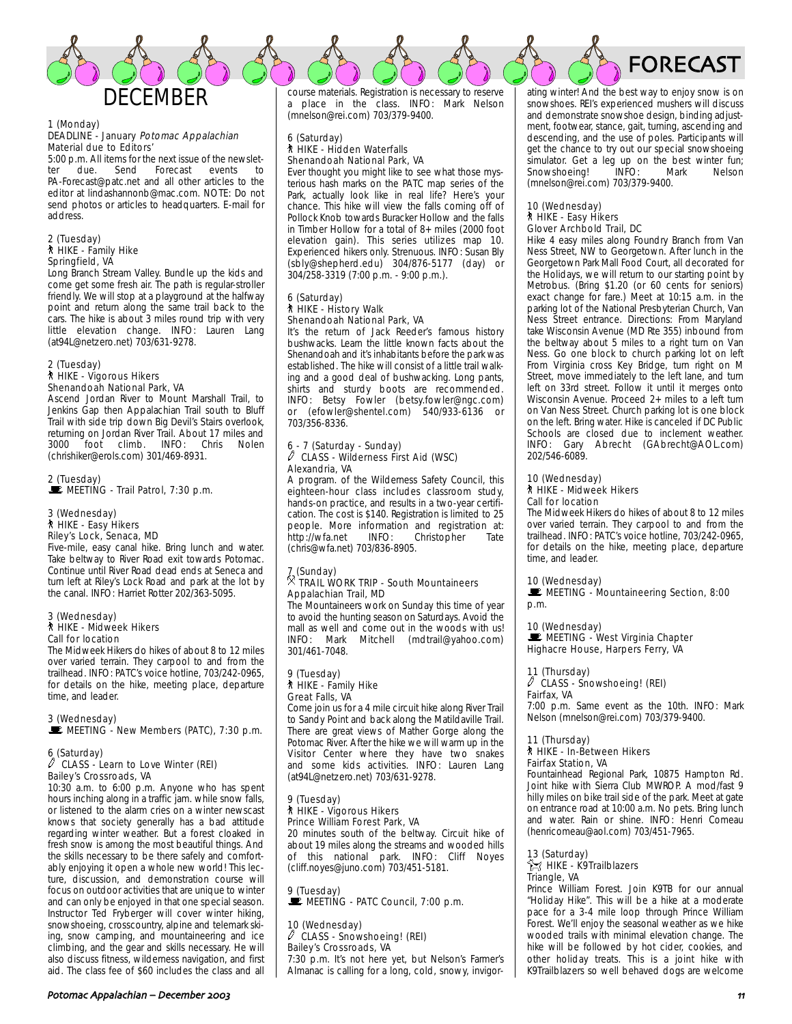

#### 1 (Monday) DEADLINE - January Potomac Appalachian Material due to Editors'

5:00 p.m. All items for the next issue of the newslet-<br>ter due. Send Forecast events to ter due. Send Forecast events to PA-Forecast@patc.net and all other articles to the editor at lindashannonb@mac.com. NOTE: Do not send photos or articles to headquarters. E-mail for address.

#### 2 (Tuesday) ` HIKE - Family Hike Springfield, VA

Long Branch Stream Valley. Bundle up the kids and come get some fresh air. The path is regular-stroller friendly. We will stop at a playground at the halfway point and return along the same trail back to the cars. The hike is about 3 miles round trip with very little elevation change. INFO: Lauren Lang (at94L@netzero.net) 703/631-9278.

#### 2 (Tuesday) ` HIKE - Vigorous Hikers Shenandoah National Park, VA

Ascend Jordan River to Mount Marshall Trail, to Jenkins Gap then Appalachian Trail south to Bluff Trail with side trip down Big Devil's Stairs overlook, returning on Jordan River Trail. About 17 miles and  $\check{5}$ foot climb. (chrishiker@erols.com) 301/469-8931.

#### 2 (Tuesday) **DE MEETING - Trail Patrol, 7:30 p.m.**

#### 3 (Wednesday) ` HIKE - Easy Hikers Riley's Lock, Senaca, MD

Five-mile, easy canal hike. Bring lunch and water. Take beltway to River Road exit towards Potomac. Continue until River Road dead ends at Seneca and turn left at Riley's Lock Road and park at the lot by the canal. INFO: Harriet Rotter 202/363-5095.

#### 3 (Wednesday) ` HIKE - Midweek Hikers Call for location

The Midweek Hikers do hikes of about 8 to 12 miles over varied terrain. They carpool to and from the trailhead. INFO: PATC's voice hotline, 703/242-0965, for details on the hike, meeting place, departure time, and leader.

### 3 (Wednesday)

MEETING - New Members (PATC), 7:30 p.m.

### 6 (Saturday) a CLASS - Learn to Love Winter (REI) Bailey's Crossroads, VA

10:30 a.m. to 6:00 p.m. Anyone who has spent hours inching along in a traffic jam. while snow falls, or listened to the alarm cries on a winter newscast knows that society generally has a bad attitude regarding winter weather. But a forest cloaked in fresh snow is among the most beautiful things. And the skills necessary to be there safely and comfortably enjoying it open a whole new world! This lecture, discussion, and demonstration course will focus on outdoor activities that are unique to winter and can only be enjoyed in that one special season. Instructor Ted Fryberger will cover winter hiking, snowshoeing, crosscountry, alpine and telemark skiing, snow camping, and mountaineering and ice climbing, and the gear and skills necessary. He will also discuss fitness, wilderness navigation, and first aid. The class fee of \$60 includes the class and all course materials. Registration is necessary to reserve a place in the class. INFO: Mark Nelson (mnelson@rei.com) 703/379-9400.

### 6 (Saturday) ` HIKE - Hidden Waterfalls Shenandoah National Park, VA

Ever thought you might like to see what those mysterious hash marks on the PATC map series of the Park, actually look like in real life? Here's your chance. This hike will view the falls coming off of Pollock Knob towards Buracker Hollow and the falls in Timber Hollow for a total of 8+ miles (2000 foot elevation gain). This series utilizes map 10. Experienced hikers only. Strenuous. INFO: Susan Bly (sbly@shepherd.edu) 304/876-5177 (day) or 304/258-3319 (7:00 p.m. - 9:00 p.m.).

#### 6 (Saturday) ` HIKE - History Walk Shenandoah National Park, VA

It's the return of Jack Reeder's famous history bushwacks. Learn the little known facts about the Shenandoah and it's inhabitants before the park was established. The hike will consist of a little trail walking and a good deal of bushwacking. Long pants, shirts and sturdy boots are recommended. INFO: Betsy Fowler (betsy.fowler@ngc.com) or (efowler@shentel.com) 540/933-6136 or 703/356-8336.

### 6 - 7 (Saturday - Sunday) a CLASS - Wilderness First Aid (WSC) Alexandria, VA

A program. of the Wilderness Safety Council, this eighteen-hour class includes classroom study, hands-on practice, and results in a two-year certification. The cost is \$140. Registration is limited to 25 people. More information and registration at:<br>http://wfa.net INFO: Christopher Tate http://wfa.net (chris@wfa.net) 703/836-8905.

### 7 (Sunday) . TRAIL WORK TRIP - South Mountaineers Appalachian Trail, MD

The Mountaineers work on Sunday this time of year to avoid the hunting season on Saturdays. Avoid the mall as well and come out in the woods with us! INFO: Mark Mitchell (mdtrail@yahoo.com) 301/461-7048.

#### 9 (Tuesday) ` HIKE - Family Hike Great Falls, VA

Come join us for a 4 mile circuit hike along River Trail to Sandy Point and back along the Matildaville Trail. There are great views of Mather Gorge along the Potomac River. After the hike we will warm up in the Visitor Center where they have two snakes and some kids activities. INFO: Lauren Lang (at94L@netzero.net) 703/631-9278.

#### 9 (Tuesday) ` HIKE - Vigorous Hikers Prince William Forest Park, VA

20 minutes south of the beltway. Circuit hike of about 19 miles along the streams and wooded hills of this national park. INFO: Cliff Noyes (cliff.noyes@juno.com) 703/451-5181.

9 (Tuesday)  $\mathbb{R}$  MEETING - PATC Council, 7:00 p.m.

#### 10 (Wednesday) a CLASS - Snowshoeing! (REI) Bailey's Crossroads, VA

7:30 p.m. It's not here yet, but Nelson's Farmer's Almanac is calling for a long, cold, snowy, invigorating winter! And the best way to enjoy snow is on snowshoes. REI's experienced mushers will discuss and demonstrate snowshoe design, binding adjustment, footwear, stance, gait, turning, ascending and descending, and the use of poles. Participants will get the chance to try out our special snowshoeing simulator. Get a leg up on the best winter fun;<br>Snowshoeing! (INFO: Mark Melson) Snowshoeing! (mnelson@rei.com) 703/379-9400.

FORECAST

#### 10 (Wednesday) ` HIKE - Easy Hikers Glover Archbold Trail, DC

Hike 4 easy miles along Foundry Branch from Van Ness Street, NW to Georgetown. After lunch in the Georgetown Park Mall Food Court, all decorated for the Holidays, we will return to our starting point by Metrobus. (Bring \$1.20 (or 60 cents for seniors) exact change for fare.) Meet at 10:15 a.m. in the parking lot of the National Presbyterian Church, Van Ness Street entrance. Directions: From Maryland take Wisconsin Avenue (MD Rte 355) inbound from the beltway about 5 miles to a right turn on Van Ness. Go one block to church parking lot on left From Virginia cross Key Bridge, turn right on M Street, move immediately to the left lane, and turn left on 33rd street. Follow it until it merges onto Wisconsin Avenue. Proceed 2+ miles to a left turn on Van Ness Street. Church parking lot is one block on the left. Bring water. Hike is canceled if DC Public Schools are closed due to inclement weather. INFO: Gary Abrecht (GAbrecht@AOL.com) 202/546-6089.

### 10 (Wednesday) ` HIKE - Midweek Hikers Call for location

The Midweek Hikers do hikes of about 8 to 12 miles over varied terrain. They carpool to and from the trailhead. INFO: PATC's voice hotline, 703/242-0965, for details on the hike, meeting place, departure time, and leader.

#### 10 (Wednesday)

MEETING - Mountaineering Section, 8:00 p.m.

#### 10 (Wednesday)

MEETING - West Virginia Chapter Highacre House, Harpers Ferry, VA

#### 11 (Thursday)

 $\sqrt{2}$  CLASS - Snowshoeing! (REI) Fairfax, VA

7:00 p.m. Same event as the 10th. INFO: Mark Nelson (mnelson@rei.com) 703/379-9400.

#### 11 (Thursday)

#### ` HIKE - In-Between Hikers Fairfax Station, VA

Fountainhead Regional Park, 10875 Hampton Rd. Joint hike with Sierra Club MWROP. A mod/fast 9 hilly miles on bike trail side of the park. Meet at gate on entrance road at 10:00 a.m. No pets. Bring lunch and water. Rain or shine. INFO: Henri Comeau (henricomeau@aol.com) 703/451-7965.

#### 13 (Saturday)  $\approx$  HIKE - K9Trailblazers Triangle, VA

Prince William Forest. Join K9TB for our annual "Holiday Hike". This will be a hike at a moderate pace for a 3-4 mile loop through Prince William Forest. We'll enjoy the seasonal weather as we hike wooded trails with minimal elevation change. The hike will be followed by hot cider, cookies, and other holiday treats. This is a joint hike with K9Trailblazers so well behaved dogs are welcome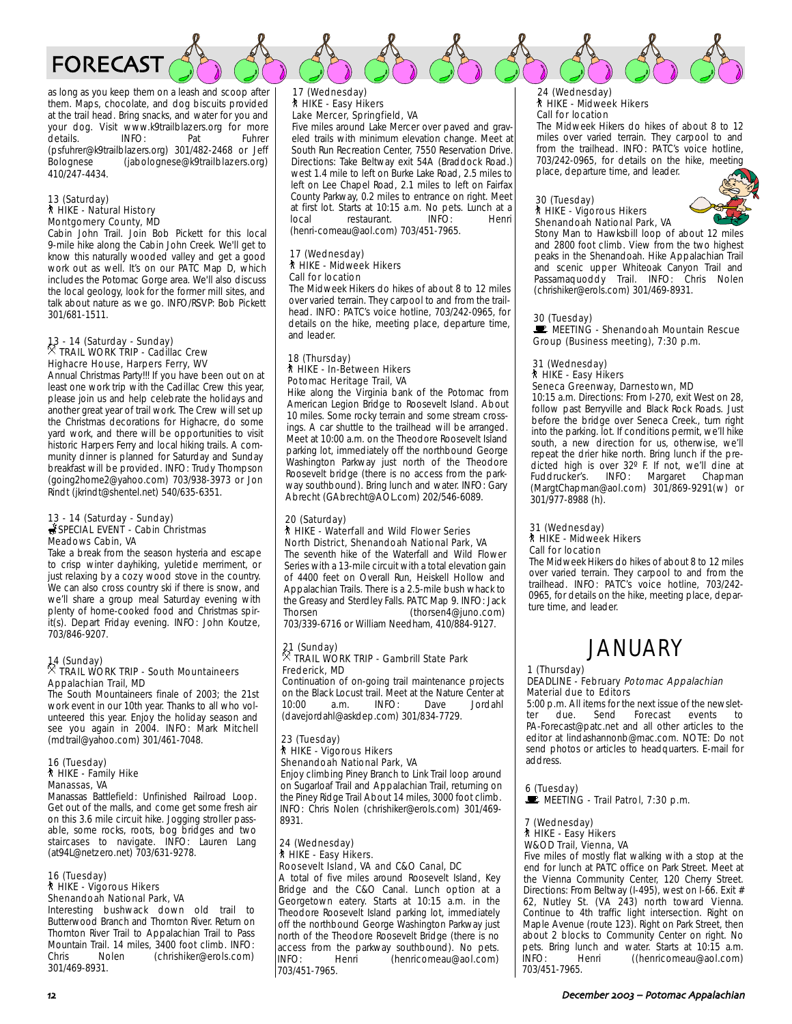

as long as you keep them on a leash and scoop after them. Maps, chocolate, and dog biscuits provided at the trail head. Bring snacks, and water for you and your dog. Visit www.k9trailblazers.org for more details. **INFO:** Pat Fuhrer (psfuhrer@k9trailblazers.org) 301/482-2468 or Jeff (jabolognese@k9trailblazers.org) 410/247-4434.

#### 13 (Saturday) ` HIKE - Natural History Montgomery County, MD

Cabin John Trail. Join Bob Pickett for this local 9-mile hike along the Cabin John Creek. We'll get to know this naturally wooded valley and get a good work out as well. It's on our PATC Map D, which includes the Potomac Gorge area. We'll also discuss the local geology, look for the former mill sites, and talk about nature as we go. INFO/RSVP: Bob Pickett 301/681-1511.

### 13 - 14 (Saturday - Sunday) . TRAIL WORK TRIP - Cadillac Crew Highacre House, Harpers Ferry, WV

Annual Christmas Party!!! If you have been out on at least one work trip with the Cadillac Crew this year, please join us and help celebrate the holidays and another great year of trail work. The Crew will set up the Christmas decorations for Highacre, do some yard work, and there will be opportunities to visit historic Harpers Ferry and local hiking trails. A community dinner is planned for Saturday and Sunday breakfast will be provided. INFO: Trudy Thompson (going2home2@yahoo.com) 703/938-3973 or Jon Rindt (jkrindt@shentel.net) 540/635-6351.

#### 13 - 14 (Saturday - Sunday) SPECIAL EVENT - Cabin Christmas Meadows Cabin, VA

Take a break from the season hysteria and escape to crisp winter dayhiking, yuletide merriment, or just relaxing by a cozy wood stove in the country. We can also cross country ski if there is snow, and we'll share a group meal Saturday evening with plenty of home-cooked food and Christmas spirit(s). Depart Friday evening. INFO: John Koutze, 703/846-9207.

### 14 (Sunday) . TRAIL WORK TRIP - South Mountaineers Appalachian Trail, MD

The South Mountaineers finale of 2003; the 21st work event in our 10th year. Thanks to all who volunteered this year. Enjoy the holiday season and see you again in 2004. INFO: Mark Mitchell (mdtrail@yahoo.com) 301/461-7048.

#### 16 (Tuesday) ` HIKE - Family Hike Manassas, VA

Manassas Battlefield: Unfinished Railroad Loop. Get out of the malls, and come get some fresh air on this 3.6 mile circuit hike. Jogging stroller passable, some rocks, roots, bog bridges and two staircases to navigate. INFO: Lauren Lang (at94L@netzero.net) 703/631-9278.

#### 16 (Tuesday) ` HIKE - Vigorous Hikers Shenandoah National Park, VA

Interesting bushwack down old trail to Butterwood Branch and Thornton River. Return on Thornton River Trail to Appalachian Trail to Pass Mountain Trail. 14 miles, 3400 foot climb. INFO: Chris Nolen (chrishiker@erols.com) 301/469-8931.

#### 17 (Wednesday) ` HIKE - Easy Hikers Lake Mercer, Springfield, VA

Five miles around Lake Mercer over paved and graveled trails with minimum elevation change. Meet at South Run Recreation Center, 7550 Reservation Drive. Directions: Take Beltway exit 54A (Braddock Road.) west 1.4 mile to left on Burke Lake Road, 2.5 miles to left on Lee Chapel Road, 2.1 miles to left on Fairfax County Parkway, 0.2 miles to entrance on right. Meet at first lot. Starts at 10:15 a.m. No pets. Lunch at a restaurant. (henri-comeau@aol.com) 703/451-7965.

#### 17 (Wednesday) ` HIKE - Midweek Hikers Call for location

The Midweek Hikers do hikes of about 8 to 12 miles over varied terrain. They carpool to and from the trailhead. INFO: PATC's voice hotline, 703/242-0965, for details on the hike, meeting place, departure time, and leader.

#### 18 (Thursday) ` HIKE - In-Between Hikers Potomac Heritage Trail, VA

Hike along the Virginia bank of the Potomac from American Legion Bridge to Roosevelt Island. About 10 miles. Some rocky terrain and some stream crossings. A car shuttle to the trailhead will be arranged. Meet at 10:00 a.m. on the Theodore Roosevelt Island parking lot, immediately off the northbound George Washington Parkway just north of the Theodore Roosevelt bridge (there is no access from the parkway southbound). Bring lunch and water. INFO: Gary Abrecht (GAbrecht@AOL.com) 202/546-6089.

#### 20 (Saturday) **N** HIKE - Waterfall and Wild Flower Series North District, Shenandoah National Park, VA

The seventh hike of the Waterfall and Wild Flower Series with a 13-mile circuit with a total elevation gain of 4400 feet on Overall Run, Heiskell Hollow and Appalachian Trails. There is a 2.5-mile bush whack to the Greasy and Sterdley Falls. PATC Map 9. INFO: Jack Thorsen (thorsen4@juno.com) 703/339-6716 or William Needham, 410/884-9127.

### 21 (Sunday) . TRAIL WORK TRIP - Gambrill State Park Frederick, MD

Continuation of on-going trail maintenance projects on the Black Locust trail. Meet at the Nature Center at 10:00 a.m. INFO: Dave Jordahl (davejordahl@askdep.com) 301/834-7729.

#### 23 (Tuesday) **N** HIKE - Vigorous Hikers Shenandoah National Park, VA

Enjoy climbing Piney Branch to Link Trail loop around on Sugarloaf Trail and Appalachian Trail, returning on the Piney Ridge Trail About 14 miles, 3000 foot climb. INFO: Chris Nolen (chrishiker@erols.com) 301/469- 8931.

#### 24 (Wednesday) **\* HIKE - Easy Hikers.** Roosevelt Island, VA and C&O Canal, DC

A total of five miles around Roosevelt Island, Key Bridge and the C&O Canal. Lunch option at a Georgetown eatery. Starts at 10:15 a.m. in the Theodore Roosevelt Island parking lot, immediately off the northbound George Washington Parkway just north of the Theodore Roosevelt Bridge (there is no access from the parkway southbound). No pets.<br>INFO: Henri (henricomeau@aol.com) (henricomeau@aol.com) 703/451-7965.

#### 24 (Wednesday) ` HIKE - Midweek Hikers Call for location

The Midweek Hikers do hikes of about 8 to 12 miles over varied terrain. They carpool to and from the trailhead. INFO: PATC's voice hotline, 703/242-0965, for details on the hike, meeting place, departure time, and leader.

### 30 (Tuesday)<br>┆ HIKE - Vigorous Hikers Shenandoah National Park, VA



Stony Man to Hawksbill loop of about 12 miles and 2800 foot climb. View from the two highest peaks in the Shenandoah. Hike Appalachian Trail and scenic upper Whiteoak Canyon Trail and Passamaquoddy Trail. INFO: Chris Nolen (chrishiker@erols.com) 301/469-8931.

#### 30 (Tuesday)

MEETING - Shenandoah Mountain Rescue Group (Business meeting), 7:30 p.m.

#### 31 (Wednesday) ` HIKE - Easy Hikers Seneca Greenway, Darnestown, MD

10:15 a.m. Directions: From I-270, exit West on 28, follow past Berryville and Black Rock Roads. Just before the bridge over Seneca Creek., turn right into the parking. lot. If conditions permit, we'll hike south, a new direction for us, otherwise, we'll repeat the drier hike north. Bring lunch if the predicted high is over 32º F. If not, we'll dine at Fuddrucker's. INFO: Margaret Chapman (MargtChapman@aol.com) 301/869-9291(w) or 301/977-8988 (h).

#### 31 (Wednesday) ` HIKE - Midweek Hikers Call for location

The Midweek Hikers do hikes of about 8 to 12 miles over varied terrain. They carpool to and from the trailhead. INFO: PATC's voice hotline, 703/242- 0965, for details on the hike, meeting place, departure time, and leader.

# **JANUARY**

#### 1 (Thursday) DEADLINE - February Potomac Appalachian Material due to Editors

5:00 p.m. All items for the next issue of the newslet-<br>ter due. Send Forecast events to ter due. Send Forecast events to PA-Forecast@patc.net and all other articles to the editor at lindashannonb@mac.com. NOTE: Do not send photos or articles to headquarters. E-mail for address.

6 (Tuesday)

 $\mathbf{\mathbb{P}}$  MEETING - Trail Patrol, 7:30 p.m.

### 7 (Wednesday) ` HIKE - Easy Hikers W&OD Trail, Vienna, VA

Five miles of mostly flat walking with a stop at the end for lunch at PATC office on Park Street. Meet at the Vienna Community Center, 120 Cherry Street. Directions: From Beltway (I-495), west on I-66. Exit # 62, Nutley St. (VA 243) north toward Vienna. Continue to 4th traffic light intersection. Right on Maple Avenue (route 123). Right on Park Street, then about 2 blocks to Community Center on right. No pets. Bring lunch and water. Starts at 10:15 a.m. INFO: Henri ((henricomeau@aol.com) 703/451-7965.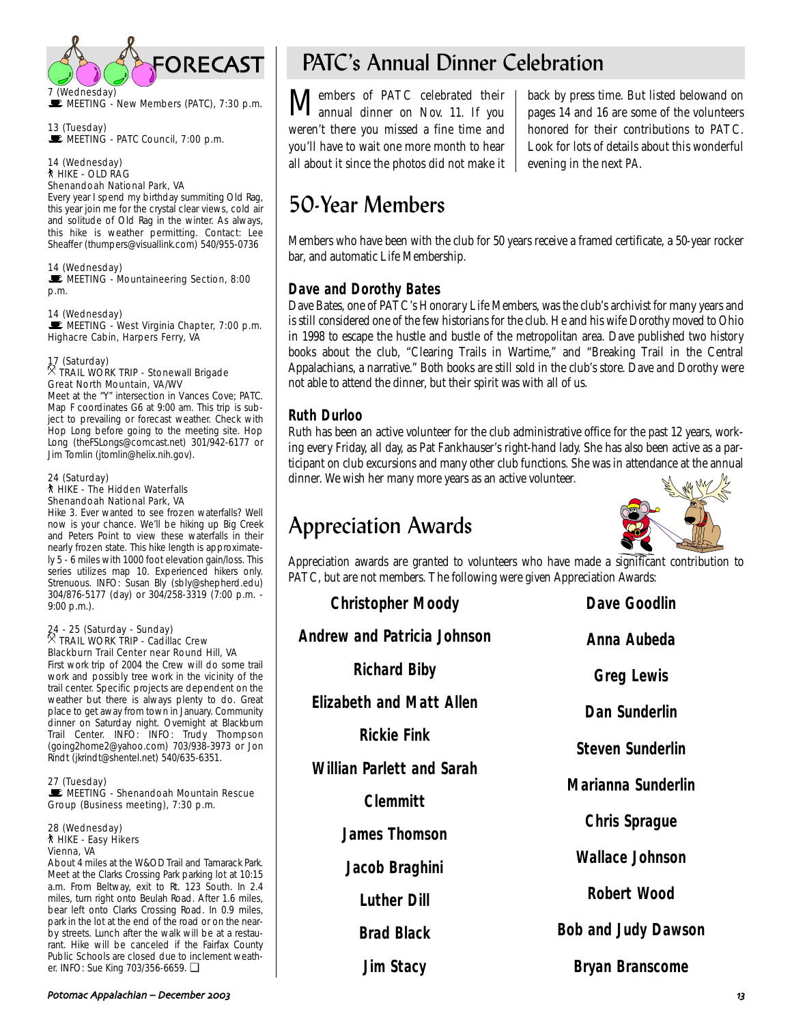

UE MEETING - New Members (PATC), 7:30 p.m.

13 (Tuesday) MEETING - PATC Council, 7:00 p.m.

14 (Wednesday) ` HIKE - OLD RAG Shenandoah National Park, VA

Every year I spend my birthday summiting Old Rag, this year join me for the crystal clear views, cold air and solitude of Old Rag in the winter. As always, this hike is weather permitting. Contact: Lee Sheaffer (thumpers@visuallink.com) 540/955-0736

14 (Wednesday) MEETING - Mountaineering Section, 8:00 p.m.

14 (Wednesday) MEETING - West Virginia Chapter, 7:00 p.m. Highacre Cabin, Harpers Ferry, VA

### 17 (Saturday) . TRAIL WORK TRIP - Stonewall Brigade Great North Mountain, VA/WV

Meet at the "Y" intersection in Vances Cove; PATC. Map F coordinates G6 at 9:00 am. This trip is subject to prevailing or forecast weather. Check with Hop Long before going to the meeting site. Hop Long (theFSLongs@comcast.net) 301/942-6177 or Jim Tomlin (jtomlin@helix.nih.gov).

#### 24 (Saturday) ` HIKE - The Hidden Waterfalls Shenandoah National Park, VA

Hike 3. Ever wanted to see frozen waterfalls? Well now is your chance. We'll be hiking up Big Creek and Peters Point to view these waterfalls in their nearly frozen state. This hike length is approximately 5 - 6 miles with 1000 foot elevation gain/loss. This series utilizes map 10. Experienced hikers only. Strenuous. INFO: Susan Bly (sbly@shepherd.edu) 304/876-5177 (day) or 304/258-3319 (7:00 p.m. - 9:00 p.m.).

### 24 - 25 (Saturday - Sunday) . TRAIL WORK TRIP - Cadillac Crew Blackburn Trail Center near Round Hill, VA

First work trip of 2004 the Crew will do some trail work and possibly tree work in the vicinity of the trail center. Specific projects are dependent on the weather but there is always plenty to do. Great place to get away from town in January. Community dinner on Saturday night. Overnight at Blackburn Trail Center. INFO: INFO: Trudy Thompson (going2home2@yahoo.com) 703/938-3973 or Jon Rindt (jkrindt@shentel.net) 540/635-6351.

27 (Tuesday) MEETING - Shenandoah Mountain Rescue Group (Business meeting), 7:30 p.m.

28 (Wednesday) ` HIKE - Easy Hikers Vienna, VA

About 4 miles at the W&OD Trail and Tamarack Park. Meet at the Clarks Crossing Park parking lot at 10:15 a.m. From Beltway, exit to Rt. 123 South. In 2.4 miles, turn right onto Beulah Road. After 1.6 miles, bear left onto Clarks Crossing Road. In 0.9 miles, park in the lot at the end of the road or on the nearby streets. Lunch after the walk will be at a restaurant. Hike will be canceled if the Fairfax County Public Schools are closed due to inclement weather. INFO: Sue King 703/356-6659. ❏

# PATC's Annual Dinner Celebration

 $\mathbf M$ embers of PATC celebrated their<br>annual dinner on Nov. 11. If you weren't there you missed a fine time and you'll have to wait one more month to hear all about it since the photos did not make it

back by press time. But listed belowand on pages 14 and 16 are some of the volunteers honored for their contributions to PATC. Look for lots of details about this wonderful evening in the next *PA*.

# 50-Year Members

Members who have been with the club for 50 years receive a framed certificate, a 50-year rocker bar, and automatic Life Membership.

### **Dave and Dorothy Bates**

Dave Bates, one of PATC's Honorary Life Members, was the club's archivist for many years and is still considered one of the few historians for the club. He and his wife Dorothy moved to Ohio in 1998 to escape the hustle and bustle of the metropolitan area. Dave published two history books about the club, "Clearing Trails in Wartime," and "Breaking Trail in the Central Appalachians, a narrative." Both books are still sold in the club's store. Dave and Dorothy were not able to attend the dinner, but their spirit was with all of us.

### **Ruth Durloo**

Ruth has been an active volunteer for the club administrative office for the past 12 years, working every Friday, all day, as Pat Fankhauser's right-hand lady. She has also been active as a participant on club excursions and many other club functions. She was in attendance at the annual dinner. We wish her many more years as an active volunteer.

# Appreciation Awards



Appreciation awards are granted to volunteers who have made a significant contribution to PATC, but are not members. The following were given Appreciation Awards:

| <b>Christopher Moody</b>           | <b>Dave Goodlin</b>        |
|------------------------------------|----------------------------|
| <b>Andrew and Patricia Johnson</b> | Anna Aubeda                |
| <b>Richard Biby</b>                | <b>Greg Lewis</b>          |
| <b>Elizabeth and Matt Allen</b>    | <b>Dan Sunderlin</b>       |
| <b>Rickie Fink</b>                 | <b>Steven Sunderlin</b>    |
| <b>Willian Parlett and Sarah</b>   | <b>Marianna Sunderlin</b>  |
| <b>Clemmitt</b>                    |                            |
| <b>James Thomson</b>               | <b>Chris Sprague</b>       |
| Jacob Braghini                     | <b>Wallace Johnson</b>     |
| <b>Luther Dill</b>                 | Robert Wood                |
| <b>Brad Black</b>                  | <b>Bob and Judy Dawson</b> |
| <b>Jim Stacy</b>                   | <b>Bryan Branscome</b>     |
|                                    |                            |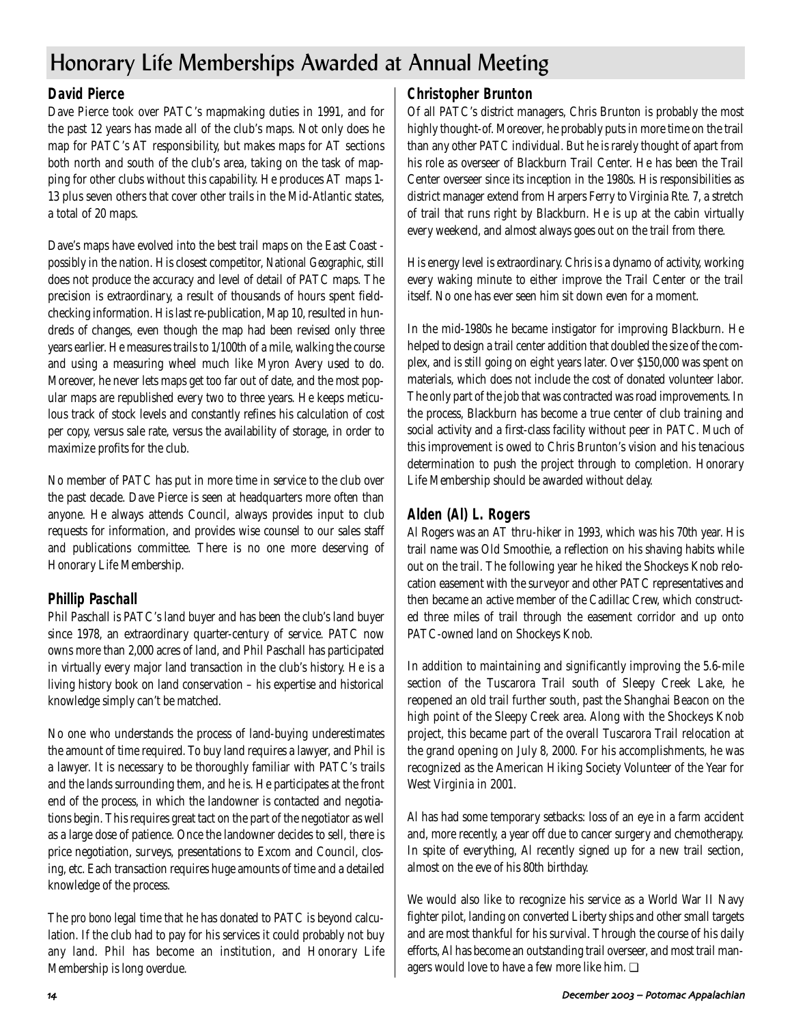# Honorary Life Memberships Awarded at Annual Meeting

### **David Pierce**

Dave Pierce took over PATC's mapmaking duties in 1991, and for the past 12 years has made all of the club's maps. Not only does he map for PATC's AT responsibility, but makes maps for AT sections both north and south of the club's area, taking on the task of mapping for other clubs without this capability. He produces AT maps 1- 13 plus seven others that cover other trails in the Mid-Atlantic states, a total of 20 maps.

Dave's maps have evolved into the best trail maps on the East Coast possibly in the nation. His closest competitor, *National Geographic*, still does not produce the accuracy and level of detail of PATC maps. The precision is extraordinary, a result of thousands of hours spent fieldchecking information. His last re-publication, Map 10, resulted in hundreds of changes, even though the map had been revised only three years earlier. He measures trails to 1/100th of a mile, walking the course and using a measuring wheel much like Myron Avery used to do. Moreover, he never lets maps get too far out of date, and the most popular maps are republished every two to three years. He keeps meticulous track of stock levels and constantly refines his calculation of cost per copy, versus sale rate, versus the availability of storage, in order to maximize profits for the club.

No member of PATC has put in more time in service to the club over the past decade. Dave Pierce is seen at headquarters more often than anyone. He always attends Council, always provides input to club requests for information, and provides wise counsel to our sales staff and publications committee. There is no one more deserving of Honorary Life Membership.

### **Phillip Paschall**

Phil Paschall is PATC's land buyer and has been the club's land buyer since 1978, an extraordinary quarter-century of service. PATC now owns more than 2,000 acres of land, and Phil Paschall has participated in virtually every major land transaction in the club's history. He is a living history book on land conservation – his expertise and historical knowledge simply can't be matched.

No one who understands the process of land-buying underestimates the amount of time required. To buy land requires a lawyer, and Phil is a lawyer. It is necessary to be thoroughly familiar with PATC's trails and the lands surrounding them, and he is. He participates at the front end of the process, in which the landowner is contacted and negotiations begin. This requires great tact on the part of the negotiator as well as a large dose of patience. Once the landowner decides to sell, there is price negotiation, surveys, presentations to Excom and Council, closing, etc. Each transaction requires huge amounts of time and a detailed knowledge of the process.

The *pro bono* legal time that he has donated to PATC is beyond calculation. If the club had to pay for his services it could probably not buy any land. Phil has become an institution, and Honorary Life Membership is long overdue.

### **Christopher Brunton**

Of all PATC's district managers, Chris Brunton is probably the most highly thought-of. Moreover, he probably puts in more time on the trail than any other PATC individual. But he is rarely thought of apart from his role as overseer of Blackburn Trail Center. He has been the Trail Center overseer since its inception in the 1980s. His responsibilities as district manager extend from Harpers Ferry to Virginia Rte. 7, a stretch of trail that runs right by Blackburn. He is up at the cabin virtually every weekend, and almost always goes out on the trail from there.

His energy level is extraordinary. Chris is a dynamo of activity, working every waking minute to either improve the Trail Center or the trail itself. No one has ever seen him sit down even for a moment.

In the mid-1980s he became instigator for improving Blackburn. He helped to design a trail center addition that doubled the size of the complex, and is still going on eight years later. Over \$150,000 was spent on materials, which does not include the cost of donated volunteer labor. The only part of the job that was contracted was road improvements. In the process, Blackburn has become a true center of club training and social activity and a first-class facility without peer in PATC. Much of this improvement is owed to Chris Brunton's vision and his tenacious determination to push the project through to completion. Honorary Life Membership should be awarded without delay.

### **Alden (Al) L. Rogers**

Al Rogers was an AT thru-hiker in 1993, which was his 70th year. His trail name was Old Smoothie, a reflection on his shaving habits while out on the trail. The following year he hiked the Shockeys Knob relocation easement with the surveyor and other PATC representatives and then became an active member of the Cadillac Crew, which constructed three miles of trail through the easement corridor and up onto PATC-owned land on Shockeys Knob.

In addition to maintaining and significantly improving the 5.6-mile section of the Tuscarora Trail south of Sleepy Creek Lake, he reopened an old trail further south, past the Shanghai Beacon on the high point of the Sleepy Creek area. Along with the Shockeys Knob project, this became part of the overall Tuscarora Trail relocation at the grand opening on July 8, 2000. For his accomplishments, he was recognized as the American Hiking Society Volunteer of the Year for West Virginia in 2001.

Al has had some temporary setbacks: loss of an eye in a farm accident and, more recently, a year off due to cancer surgery and chemotherapy. In spite of everything, Al recently signed up for a new trail section, almost on the eve of his 80th birthday.

We would also like to recognize his service as a World War II Navy fighter pilot, landing on converted Liberty ships and other small targets and are most thankful for his survival. Through the course of his daily efforts, Al has become an outstanding trail overseer, and most trail managers would love to have a few more like him. ❏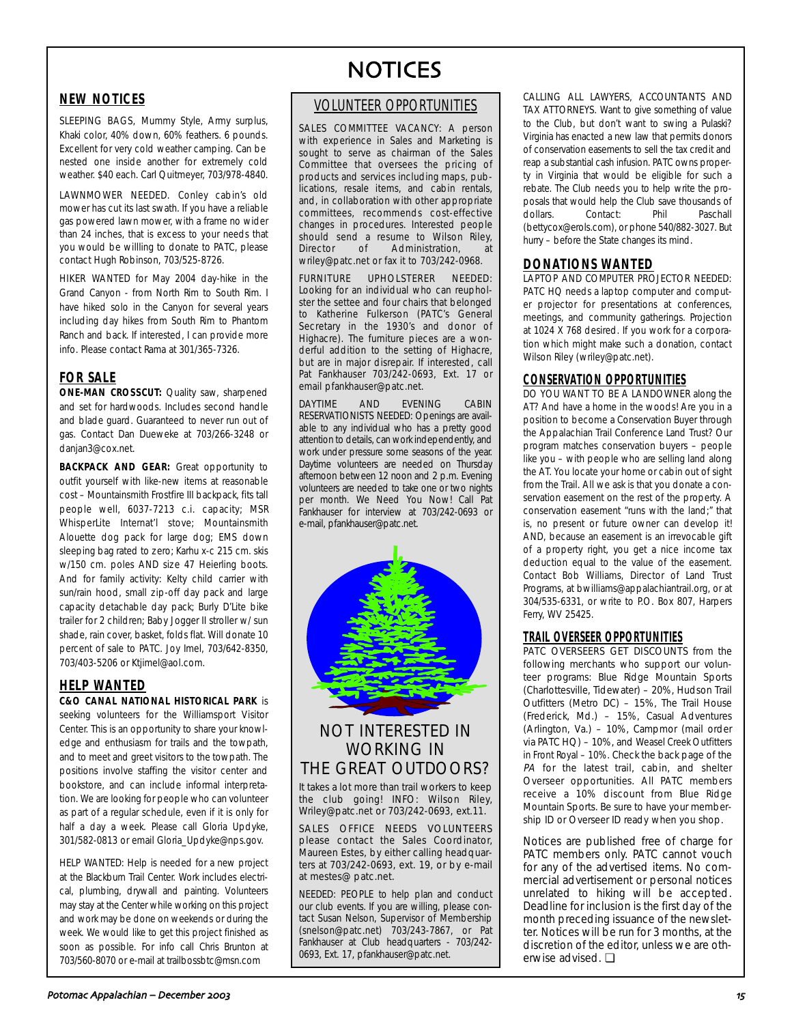### **NEW NOTICES**

SLEEPING BAGS, Mummy Style, Army surplus, Khaki color, 40% down, 60% feathers. 6 pounds. Excellent for very cold weather camping. Can be nested one inside another for extremely cold weather. \$40 each. Carl Quitmeyer, 703/978-4840.

LAWNMOWER NEEDED. Conley cabin's old mower has cut its last swath. If you have a reliable gas powered lawn mower, with a frame no wider than 24 inches, that is excess to your needs that you would be willling to donate to PATC, please contact Hugh Robinson, 703/525-8726.

HIKER WANTED for May 2004 day-hike in the Grand Canyon - from North Rim to South Rim. I have hiked solo in the Canyon for several years including day hikes from South Rim to Phantom Ranch and back. If interested, I can provide more info. Please contact Rama at 301/365-7326.

### **FOR SALE**

**ONE-MAN CROSSCUT:** Quality saw, sharpened and set for hardwoods. Includes second handle and blade guard. Guaranteed to never run out of gas. Contact Dan Dueweke at 703/266-3248 or danjan3@cox.net.

**BACKPACK AND GEAR:** Great opportunity to outfit yourself with like-new items at reasonable cost – Mountainsmith Frostfire III backpack, fits tall people well, 6037-7213 c.i. capacity; MSR WhisperLite Internat'l stove; Mountainsmith Alouette dog pack for large dog; EMS down sleeping bag rated to zero; Karhu x-c 215 cm. skis w/150 cm. poles AND size 47 Heierling boots. And for family activity: Kelty child carrier with sun/rain hood, small zip-off day pack and large capacity detachable day pack; Burly D'Lite bike trailer for 2 children; Baby Jogger II stroller w/ sun shade, rain cover, basket, folds flat. Will donate 10 percent of sale to PATC. Joy Imel, 703/642-8350, 703/403-5206 or Ktjimel@aol.com.

#### **HELP WANTED**

**C&O CANAL NATIONAL HISTORICAL PARK** is seeking volunteers for the Williamsport Visitor Center. This is an opportunity to share your knowledge and enthusiasm for trails and the towpath, and to meet and greet visitors to the towpath. The positions involve staffing the visitor center and bookstore, and can include informal interpretation. We are looking for people who can volunteer as part of a regular schedule, even if it is only for half a day a week. Please call Gloria Updyke, 301/582-0813 or email Gloria\_Updyke@nps.gov.

HELP WANTED: Help is needed for a new project at the Blackburn Trail Center. Work includes electrical, plumbing, drywall and painting. Volunteers may stay at the Center while working on this project and work may be done on weekends or during the week. We would like to get this project finished as soon as possible. For info call Chris Brunton at 703/560-8070 or e-mail at trailbossbtc@msn.com

# **NOTICES**

### VOLUNTEER OPPORTUNITIES

SALES COMMITTEE VACANCY: A person with experience in Sales and Marketing is sought to serve as chairman of the Sales Committee that oversees the pricing of products and services including maps, publications, resale items, and cabin rentals, and, in collaboration with other appropriate committees, recommends cost-effective changes in procedures. Interested people should send a resume to Wilson Riley,<br>Director of Administration, at Administration. wriley@patc.net or fax it to 703/242-0968.

FURNITURE UPHOLSTERER NEEDED: Looking for an individual who can reupholster the settee and four chairs that belonged to Katherine Fulkerson (PATC's General Secretary in the 1930's and donor of Highacre). The furniture pieces are a wonderful addition to the setting of Highacre, but are in major disrepair. If interested, call Pat Fankhauser 703/242-0693, Ext. 17 or email pfankhauser@patc.net.

DAYTIME AND EVENING CABIN RESERVATIONISTS NEEDED: Openings are available to any individual who has a pretty good attention to details, can work independently, and work under pressure some seasons of the year. Daytime volunteers are needed on Thursday afternoon between 12 noon and 2 p.m. Evening volunteers are needed to take one or two nights per month. We Need You Now! Call Pat Fankhauser for interview at 703/242-0693 or e-mail, pfankhauser@patc.net.



### NOT INTERESTED IN WORKING IN THE GREAT OUTDOORS?

It takes a lot more than trail workers to keep the club going! INFO: Wilson Riley, Wriley@patc.net or 703/242-0693, ext.11.

SALES OFFICE NEEDS VOLUNTEERS please contact the Sales Coordinator, Maureen Estes, by either calling headquarters at 703/242-0693, ext. 19, or by e-mail at mestes@ patc.net.

NEEDED: PEOPLE to help plan and conduct our club events. If you are willing, please contact Susan Nelson, Supervisor of Membership (snelson@patc.net) 703/243-7867, or Pat Fankhauser at Club headquarters - 703/242- 0693, Ext. 17, pfankhauser@patc.net.

CALLING ALL LAWYERS, ACCOUNTANTS AND TAX ATTORNEYS. Want to give something of value to the Club, but don't want to swing a Pulaski? Virginia has enacted a new law that permits donors of conservation easements to sell the tax credit and reap a substantial cash infusion. PATC owns property in Virginia that would be eligible for such a rebate. The Club needs you to help write the proposals that would help the Club save thousands of dollars. Contact: Phil Paschall (bettycox@erols.com), or phone 540/882-3027. But hurry – before the State changes its mind.

#### **DONATIONS WANTED**

LAPTOP AND COMPUTER PROJECTOR NEEDED: PATC HQ needs a laptop computer and computer projector for presentations at conferences, meetings, and community gatherings. Projection at 1024 X 768 desired. If you work for a corporation which might make such a donation, contact Wilson Riley (wriley@patc.net).

### **CONSERVATION OPPORTUNITIES**

DO YOU WANT TO BE A LANDOWNER along the AT? And have a home in the woods! Are you in a position to become a Conservation Buyer through the Appalachian Trail Conference Land Trust? Our program matches conservation buyers – people like you – with people who are selling land along the AT. You locate your home or cabin out of sight from the Trail. All we ask is that you donate a conservation easement on the rest of the property. A conservation easement "runs with the land;" that is, no present or future owner can develop it! AND, because an easement is an irrevocable gift of a property right, you get a nice income tax deduction equal to the value of the easement. Contact Bob Williams, Director of Land Trust Programs, at bwilliams@appalachiantrail.org, or at 304/535-6331, or write to P.O. Box 807, Harpers Ferry, WV 25425.

### **TRAIL OVERSEER OPPORTUNITIES**

PATC OVERSEERS GET DISCOUNTS from the following merchants who support our volunteer programs: Blue Ridge Mountain Sports (Charlottesville, Tidewater) – 20%, Hudson Trail Outfitters (Metro DC) – 15%, The Trail House (Frederick, Md.) – 15%, Casual Adventures (Arlington, Va.) – 10%, Campmor (mail order via PATC HQ) – 10%, and Weasel Creek Outfitters in Front Royal – 10%. Check the back page of the PA for the latest trail, cabin, and shelter Overseer opportunities. All PATC members receive a 10% discount from Blue Ridge Mountain Sports. Be sure to have your membership ID or Overseer ID ready when you shop.

Notices are published free of charge for PATC members only. PATC cannot vouch for any of the advertised items. No commercial advertisement or personal notices unrelated to hiking will be accepted. Deadline for inclusion is the first day of the month preceding issuance of the newsletter. Notices will be run for 3 months, at the discretion of the editor, unless we are otherwise advised. ❏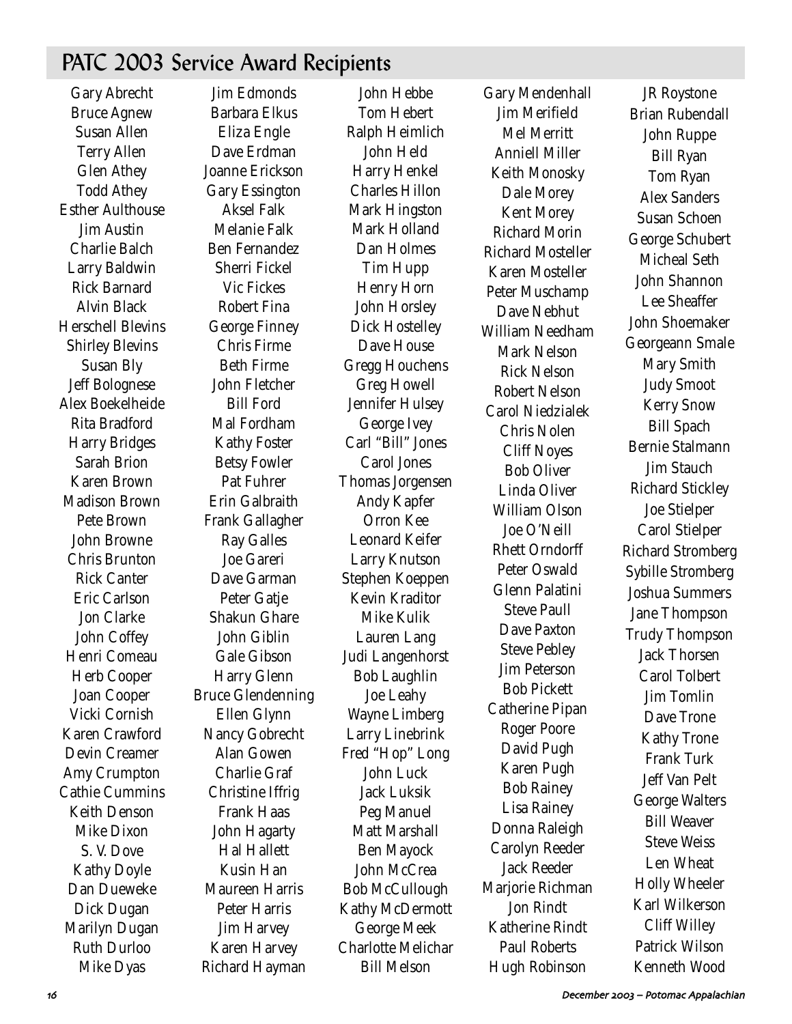## PATC 2003 Service Award Recipients

Gary Abrecht Bruce Agnew Susan Allen Terry Allen Glen Athey Todd Athey Esther Aulthouse Jim Austin Charlie Balch Larry Baldwin Rick Barnard Alvin Black Herschell Blevins Shirley Blevins Susan Bly Jeff Bolognese Alex Boekelheide Rita Bradford Harry Bridges Sarah Brion Karen Brown Madison Brown Pete Brown John Browne Chris Brunton Rick Canter Eric Carlson Jon Clarke John Coffey Henri Comeau Herb Cooper Joan Cooper Vicki Cornish Karen Crawford Devin Creamer Amy Crumpton Cathie Cummins Keith Denson Mike Dixon S. V. Dove Kathy Doyle Dan Dueweke Dick Dugan Marilyn Dugan Ruth Durloo Mike Dyas

Jim Edmonds Barbara Elkus Eliza Engle Dave Erdman Joanne Erickson Gary Essington Aksel Falk Melanie Falk Ben Fernandez Sherri Fickel Vic Fickes Robert Fina George Finney Chris Firme Beth Firme John Fletcher Bill Ford Mal Fordham Kathy Foster Betsy Fowler Pat Fuhrer Erin Galbraith Frank Gallagher Ray Galles Joe Gareri Dave Garman Peter Gatje Shakun Ghare John Giblin Gale Gibson Harry Glenn Bruce Glendenning Ellen Glynn Nancy Gobrecht Alan Gowen Charlie Graf Christine Iffrig Frank Haas John Hagarty Hal Hallett Kusin Han Maureen Harris Peter Harris Jim Harvey Karen Harvey Richard Hayman

John Hebbe Tom Hebert Ralph Heimlich John Held Harry Henkel Charles Hillon Mark Hingston Mark Holland Dan Holmes Tim Hupp Henry Horn John Horsley Dick Hostelley Dave House Gregg Houchens Greg Howell Jennifer Hulsey George Ivey Carl "Bill" Jones Carol Jones Thomas Jorgensen Andy Kapfer Orron Kee Leonard Keifer Larry Knutson Stephen Koeppen Kevin Kraditor Mike Kulik Lauren Lang Judi Langenhorst Bob Laughlin Joe Leahy Wayne Limberg Larry Linebrink Fred "Hop" Long John Luck Jack Luksik Peg Manuel Matt Marshall Ben Mayock John McCrea Bob McCullough Kathy McDermott George Meek Charlotte Melichar Bill Melson

Gary Mendenhall Jim Merifield Mel Merritt Anniell Miller Keith Monosky Dale Morey Kent Morey Richard Morin Richard Mosteller Karen Mosteller Peter Muschamp Dave Nebhut William Needham Mark Nelson Rick Nelson Robert Nelson Carol Niedzialek Chris Nolen Cliff Noyes Bob Oliver Linda Oliver William Olson Joe O'Neill Rhett Orndorff Peter Oswald Glenn Palatini Steve Paull Dave Paxton Steve Pebley Jim Peterson Bob Pickett Catherine Pipan Roger Poore David Pugh Karen Pugh Bob Rainey Lisa Rainey Donna Raleigh Carolyn Reeder Jack Reeder Marjorie Richman Jon Rindt Katherine Rindt Paul Roberts Hugh Robinson

JR Roystone Brian Rubendall John Ruppe Bill Ryan Tom Ryan Alex Sanders Susan Schoen George Schubert Micheal Seth John Shannon Lee Sheaffer John Shoemaker Georgeann Smale Mary Smith Judy Smoot Kerry Snow Bill Spach Bernie Stalmann Jim Stauch Richard Stickley Joe Stielper Carol Stielper Richard Stromberg Sybille Stromberg Joshua Summers Jane Thompson Trudy Thompson Jack Thorsen Carol Tolbert Jim Tomlin Dave Trone Kathy Trone Frank Turk Jeff Van Pelt George Walters Bill Weaver Steve Weiss Len Wheat Holly Wheeler Karl Wilkerson Cliff Willey Patrick Wilson Kenneth Wood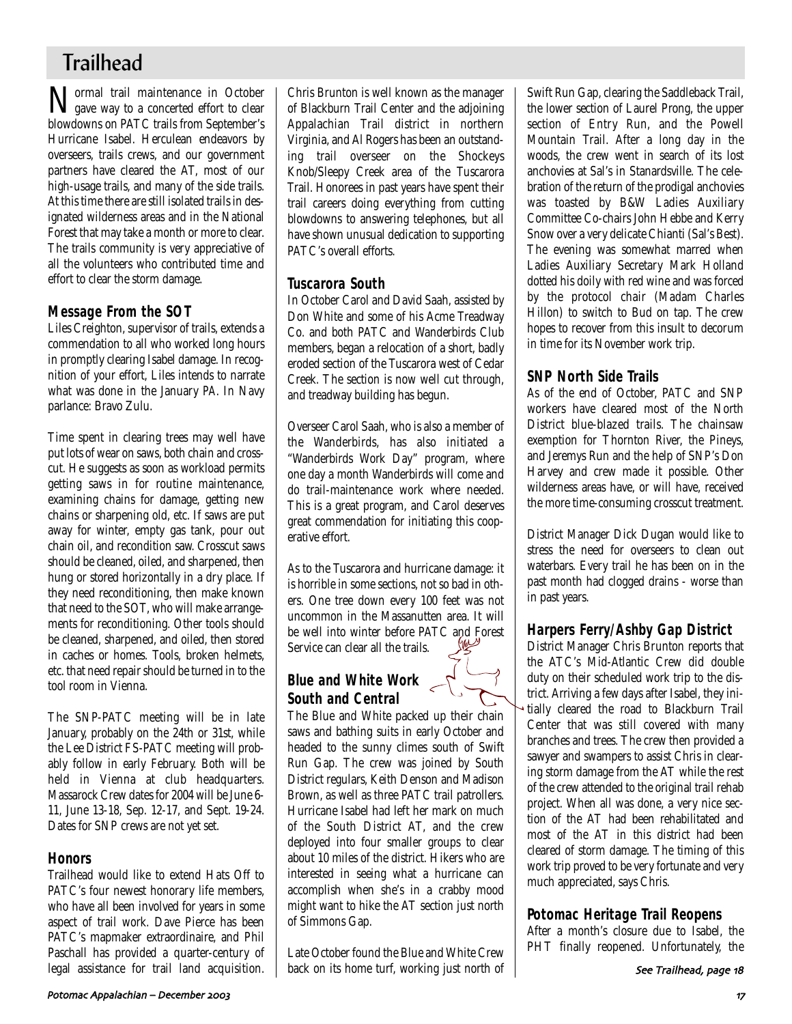## **Trailhead**

**Normal trail maintenance in October**<br>gave way to a concerted effort to clear gave way to a concerted effort to clear blowdowns on PATC trails from September's Hurricane Isabel. Herculean endeavors by overseers, trails crews, and our government partners have cleared the AT, most of our high-usage trails, and many of the side trails. At this time there are still isolated trails in designated wilderness areas and in the National Forest that may take a month or more to clear. The trails community is very appreciative of all the volunteers who contributed time and effort to clear the storm damage.

### **Message From the SOT**

Liles Creighton, supervisor of trails, extends a commendation to all who worked long hours in promptly clearing Isabel damage. In recognition of your effort, Liles intends to narrate what was done in the January *PA*. In Navy parlance: Bravo Zulu.

Time spent in clearing trees may well have put lots of wear on saws, both chain and crosscut. He suggests as soon as workload permits getting saws in for routine maintenance, examining chains for damage, getting new chains or sharpening old, etc. If saws are put away for winter, empty gas tank, pour out chain oil, and recondition saw. Crosscut saws should be cleaned, oiled, and sharpened, then hung or stored horizontally in a dry place. If they need reconditioning, then make known that need to the SOT, who will make arrangements for reconditioning. Other tools should be cleaned, sharpened, and oiled, then stored in caches or homes. Tools, broken helmets, etc. that need repair should be turned in to the tool room in Vienna.

The SNP-PATC meeting will be in late January, probably on the 24th or 31st, while the Lee District FS-PATC meeting will probably follow in early February. Both will be held in Vienna at club headquarters. Massarock Crew dates for 2004 will be June 6- 11, June 13-18, Sep. 12-17, and Sept. 19-24. Dates for SNP crews are not yet set.

### **Honors**

Trailhead would like to extend Hats Off to PATC's four newest honorary life members, who have all been involved for years in some aspect of trail work. Dave Pierce has been PATC's mapmaker extraordinaire, and Phil Paschall has provided a quarter-century of legal assistance for trail land acquisition. Chris Brunton is well known as the manager of Blackburn Trail Center and the adjoining Appalachian Trail district in northern Virginia, and Al Rogers has been an outstanding trail overseer on the Shockeys Knob/Sleepy Creek area of the Tuscarora Trail. Honorees in past years have spent their trail careers doing everything from cutting blowdowns to answering telephones, but all have shown unusual dedication to supporting PATC's overall efforts.

### **Tuscarora South**

In October Carol and David Saah, assisted by Don White and some of his Acme Treadway Co. and both PATC and Wanderbirds Club members, began a relocation of a short, badly eroded section of the Tuscarora west of Cedar Creek. The section is now well cut through, and treadway building has begun.

Overseer Carol Saah, who is also a member of the Wanderbirds, has also initiated a "Wanderbirds Work Day" program, where one day a month Wanderbirds will come and do trail-maintenance work where needed. This is a great program, and Carol deserves great commendation for initiating this cooperative effort.

As to the Tuscarora and hurricane damage: it is horrible in some sections, not so bad in others. One tree down every 100 feet was not uncommon in the Massanutten area. It will be well into winter before PATC and Forest Service can clear all the trails.  $\mathbb{R}^N$ 

### **Blue and White Work South and Central**



The Blue and White packed up their chain saws and bathing suits in early October and headed to the sunny climes south of Swift Run Gap. The crew was joined by South District regulars, Keith Denson and Madison Brown, as well as three PATC trail patrollers. Hurricane Isabel had left her mark on much of the South District AT, and the crew deployed into four smaller groups to clear about 10 miles of the district. Hikers who are interested in seeing what a hurricane can accomplish when she's in a crabby mood might want to hike the AT section just north of Simmons Gap.

Late October found the Blue and White Crew back on its home turf, working just north of

Swift Run Gap, clearing the Saddleback Trail, the lower section of Laurel Prong, the upper section of Entry Run, and the Powell Mountain Trail. After a long day in the woods, the crew went in search of its lost anchovies at Sal's in Stanardsville. The celebration of the return of the prodigal anchovies was toasted by B&W Ladies Auxiliary Committee Co-chairs John Hebbe and Kerry Snow over a very delicate Chianti (Sal's Best). The evening was somewhat marred when Ladies Auxiliary Secretary Mark Holland dotted his doily with red wine and was forced by the protocol chair (Madam Charles Hillon) to switch to Bud on tap. The crew hopes to recover from this insult to decorum in time for its November work trip.

### **SNP North Side Trails**

As of the end of October, PATC and SNP workers have cleared most of the North District blue-blazed trails. The chainsaw exemption for Thornton River, the Pineys, and Jeremys Run and the help of SNP's Don Harvey and crew made it possible. Other wilderness areas have, or will have, received the more time-consuming crosscut treatment.

District Manager Dick Dugan would like to stress the need for overseers to clean out waterbars. Every trail he has been on in the past month had clogged drains - worse than in past years.

### **Harpers Ferry/Ashby Gap District**

District Manager Chris Brunton reports that the ATC's Mid-Atlantic Crew did double duty on their scheduled work trip to the district. Arriving a few days after Isabel, they initially cleared the road to Blackburn Trail Center that was still covered with many branches and trees. The crew then provided a sawyer and swampers to assist Chris in clearing storm damage from the AT while the rest of the crew attended to the original trail rehab project. When all was done, a very nice section of the AT had been rehabilitated and most of the AT in this district had been cleared of storm damage. The timing of this work trip proved to be very fortunate and very much appreciated, says Chris.

### **Potomac Heritage Trail Reopens**

After a month's closure due to Isabel, the PHT finally reopened. Unfortunately, the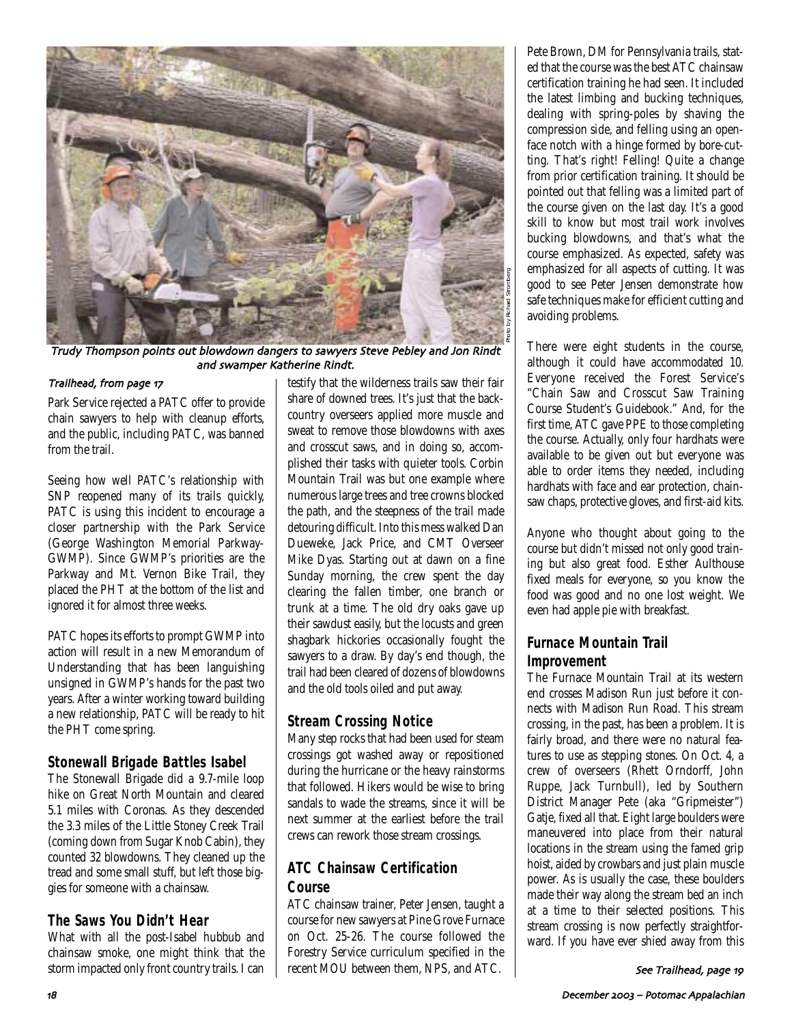

Trudy Thompson points out blowdown dangers to sawyers Steve Pebley and Jon Rindt and swamper Katherine Rindt.

#### Trailhead, from page 17

Park Service rejected a PATC offer to provide chain sawyers to help with cleanup efforts, and the public, including PATC, was banned from the trail.

Seeing how well PATC's relationship with SNP reopened many of its trails quickly, PATC is using this incident to encourage a closer partnership with the Park Service (George Washington Memorial Parkway-GWMP). Since GWMP's priorities are the Parkway and Mt. Vernon Bike Trail, they placed the PHT at the bottom of the list and ignored it for almost three weeks.

PATC hopes its efforts to prompt GWMP into action will result in a new Memorandum of Understanding that has been languishing unsigned in GWMP's hands for the past two years. After a winter working toward building a new relationship, PATC will be ready to hit the PHT come spring.

### **Stonewall Brigade Battles Isabel**

The Stonewall Brigade did a 9.7-mile loop hike on Great North Mountain and cleared 5.1 miles with Coronas. As they descended the 3.3 miles of the Little Stoney Creek Trail (coming down from Sugar Knob Cabin), they counted 32 blowdowns. They cleaned up the tread and some small stuff, but left those biggies for someone with a chainsaw.

### **The Saws You Didn't Hear**

What with all the post-Isabel hubbub and chainsaw smoke, one might think that the storm impacted only front country trails. I can testify that the wilderness trails saw their fair share of downed trees. It's just that the backcountry overseers applied more muscle and sweat to remove those blowdowns with axes and crosscut saws, and in doing so, accomplished their tasks with quieter tools. Corbin Mountain Trail was but one example where numerous large trees and tree crowns blocked the path, and the steepness of the trail made detouring difficult. Into this mess walked Dan Dueweke, Jack Price, and CMT Overseer Mike Dyas. Starting out at dawn on a fine Sunday morning, the crew spent the day clearing the fallen timber, one branch or trunk at a time. The old dry oaks gave up their sawdust easily, but the locusts and green shagbark hickories occasionally fought the sawyers to a draw. By day's end though, the trail had been cleared of dozens of blowdowns and the old tools oiled and put away.

### **Stream Crossing Notice**

Many step rocks that had been used for steam crossings got washed away or repositioned during the hurricane or the heavy rainstorms that followed. Hikers would be wise to bring sandals to wade the streams, since it will be next summer at the earliest before the trail crews can rework those stream crossings.

### **ATC Chainsaw Certification Course**

ATC chainsaw trainer, Peter Jensen, taught a course for new sawyers at Pine Grove Furnace on Oct. 25-26. The course followed the Forestry Service curriculum specified in the recent MOU between them, NPS, and ATC.

Pete Brown, DM for Pennsylvania trails, stated that the course was the best ATC chainsaw certification training he had seen. It included the latest limbing and bucking techniques, dealing with spring-poles by shaving the compression side, and felling using an openface notch with a hinge formed by bore-cutting. That's right! Felling! Quite a change from prior certification training. It should be pointed out that felling was a limited part of the course given on the last day. It's a good skill to know but most trail work involves bucking blowdowns, and that's what the course emphasized. As expected, safety was emphasized for all aspects of cutting. It was good to see Peter Jensen demonstrate how safe techniques make for efficient cutting and avoiding problems.

There were eight students in the course, although it could have accommodated 10. Everyone received the Forest Service's "Chain Saw and Crosscut Saw Training Course Student's Guidebook." And, for the first time, ATC gave PPE to those completing the course. Actually, only four hardhats were available to be given out but everyone was able to order items they needed, including hardhats with face and ear protection, chainsaw chaps, protective gloves, and first-aid kits.

Anyone who thought about going to the course but didn't missed not only good training but also great food. Esther Aulthouse fixed meals for everyone, so you know the food was good and no one lost weight. We even had apple pie with breakfast.

### **Furnace Mountain Trail Improvement**

The Furnace Mountain Trail at its western end crosses Madison Run just before it connects with Madison Run Road. This stream crossing, in the past, has been a problem. It is fairly broad, and there were no natural features to use as stepping stones. On Oct. 4, a crew of overseers (Rhett Orndorff, John Ruppe, Jack Turnbull), led by Southern District Manager Pete (aka "Gripmeister") Gatje, fixed all that. Eight large boulders were maneuvered into place from their natural locations in the stream using the famed grip hoist, aided by crowbars and just plain muscle power. As is usually the case, these boulders made their way along the stream bed an inch at a time to their selected positions. This stream crossing is now perfectly straightforward. If you have ever shied away from this

See Trailhead, page 19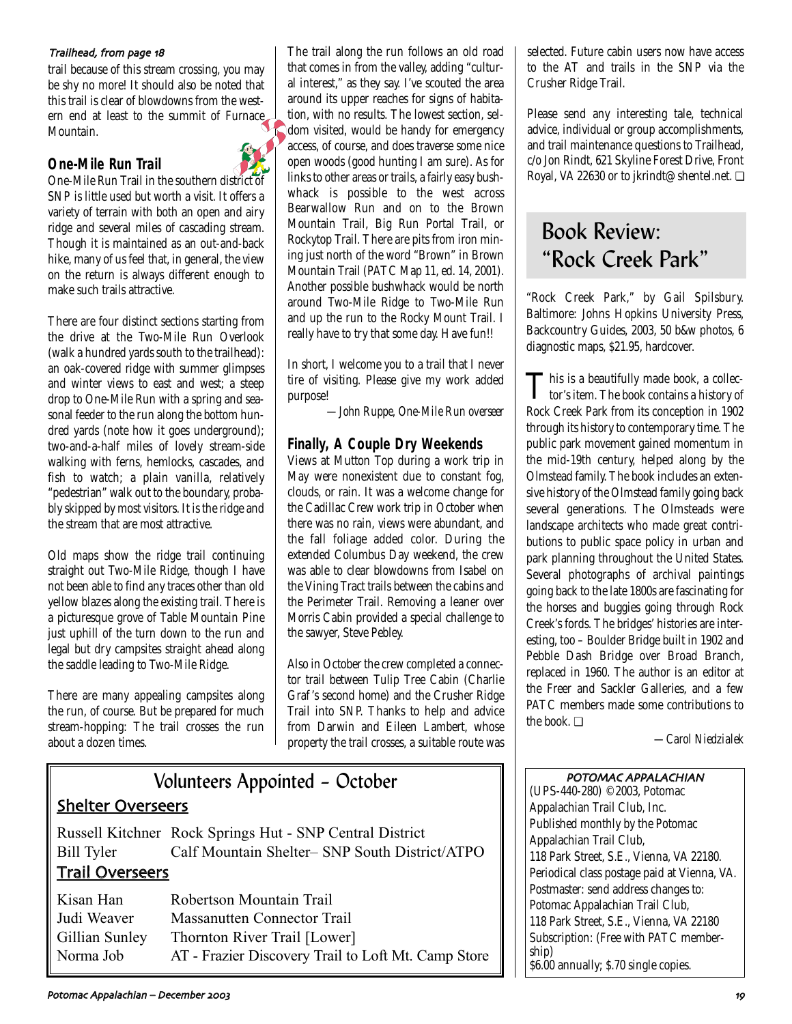#### Trailhead, from page 18

trail because of this stream crossing, you may be shy no more! It should also be noted that<br>this trail is clear of blowdowns from the westthis trail is clear of blowdowns from the western end at least to the summit of Furnace Mountain.

### **One-Mile Run Trail**



One-Mile Run Trail in the southern district of SNP is little used but worth a visit. It offers a variety of terrain with both an open and airy ridge and several miles of cascading stream. Though it is maintained as an out-and-back hike, many of us feel that, in general, the view on the return is always different enough to make such trails attractive.

There are four distinct sections starting from the drive at the Two-Mile Run Overlook (walk a hundred yards south to the trailhead): an oak-covered ridge with summer glimpses and winter views to east and west; a steep drop to One-Mile Run with a spring and seasonal feeder to the run along the bottom hundred yards (note how it goes underground); two-and-a-half miles of lovely stream-side walking with ferns, hemlocks, cascades, and fish to watch; a plain vanilla, relatively "pedestrian" walk out to the boundary, probably skipped by most visitors. It is the ridge and the stream that are most attractive.

Old maps show the ridge trail continuing straight out Two-Mile Ridge, though I have not been able to find any traces other than old yellow blazes along the existing trail. There is a picturesque grove of Table Mountain Pine just uphill of the turn down to the run and legal but dry campsites straight ahead along the saddle leading to Two-Mile Ridge.

There are many appealing campsites along the run, of course. But be prepared for much stream-hopping: The trail crosses the run about a dozen times.

The trail along the run follows an old road that comes in from the valley, adding "cultural interest," as they say. I've scouted the area around its upper reaches for signs of habitation, with no results. The lowest section, seldom visited, would be handy for emergency access, of course, and does traverse some nice open woods (good hunting I am sure). As for links to other areas or trails, a fairly easy bushwhack is possible to the west across Bearwallow Run and on to the Brown Mountain Trail, Big Run Portal Trail, or Rockytop Trail. There are pits from iron mining just north of the word "Brown" in Brown Mountain Trail (PATC Map 11, ed. 14, 2001). Another possible bushwhack would be north around Two-Mile Ridge to Two-Mile Run and up the run to the Rocky Mount Trail. I really have to try that some day. Have fun!!

In short, I welcome you to a trail that I never tire of visiting. Please give my work added purpose!

*—John Ruppe, One-Mile Run overseer* 

### **Finally, A Couple Dry Weekends**

Views at Mutton Top during a work trip in May were nonexistent due to constant fog, clouds, or rain. It was a welcome change for the Cadillac Crew work trip in October when there was no rain, views were abundant, and the fall foliage added color. During the extended Columbus Day weekend, the crew was able to clear blowdowns from Isabel on the Vining Tract trails between the cabins and the Perimeter Trail. Removing a leaner over Morris Cabin provided a special challenge to the sawyer, Steve Pebley.

Also in October the crew completed a connector trail between Tulip Tree Cabin (Charlie Graf 's second home) and the Crusher Ridge Trail into SNP. Thanks to help and advice from Darwin and Eileen Lambert, whose property the trail crosses, a suitable route was

## Volunteers Appointed – October Shelter Overseers Russell Kitchner Rock Springs Hut - SNP Central District Bill Tyler Calf Mountain Shelter– SNP South District/ATPO Trail Overseers Kisan Han Robertson Mountain Trail Judi Weaver Massanutten Connector Trail

Gillian Sunley Thornton River Trail [Lower] Norma Job AT - Frazier Discovery Trail to Loft Mt. Camp Store selected. Future cabin users now have access to the AT and trails in the SNP via the Crusher Ridge Trail.

Please send any interesting tale, technical advice, individual or group accomplishments, and trail maintenance questions to Trailhead, c/o Jon Rindt, 621 Skyline Forest Drive, Front Royal, VA 22630 or to jkrindt@shentel.net. ❏

# Book Review: "Rock Creek Park"

"Rock Creek Park," by Gail Spilsbury. Baltimore: Johns Hopkins University Press, Backcountry Guides, 2003, 50 b&w photos, 6 diagnostic maps, \$21.95, hardcover.

This is a beautifully made book, a collec-tor's item. The book contains a history of Rock Creek Park from its conception in 1902 through its history to contemporary time. The public park movement gained momentum in the mid-19th century, helped along by the Olmstead family. The book includes an extensive history of the Olmstead family going back several generations. The Olmsteads were landscape architects who made great contributions to public space policy in urban and park planning throughout the United States. Several photographs of archival paintings going back to the late 1800s are fascinating for the horses and buggies going through Rock Creek's fords. The bridges' histories are interesting, too – Boulder Bridge built in 1902 and Pebble Dash Bridge over Broad Branch, replaced in 1960. The author is an editor at the Freer and Sackler Galleries, and a few PATC members made some contributions to the book. ❏

*—Carol Niedzialek* 

### POTOMAC APPALACHIAN

(UPS-440-280) ©2003, Potomac Appalachian Trail Club, Inc. Published monthly by the Potomac Appalachian Trail Club, 118 Park Street, S.E., Vienna, VA 22180. Periodical class postage paid at Vienna, VA. Postmaster: send address changes to: Potomac Appalachian Trail Club, 118 Park Street, S.E., Vienna, VA 22180 Subscription: (Free with PATC membership) \$6.00 annually; \$.70 single copies.